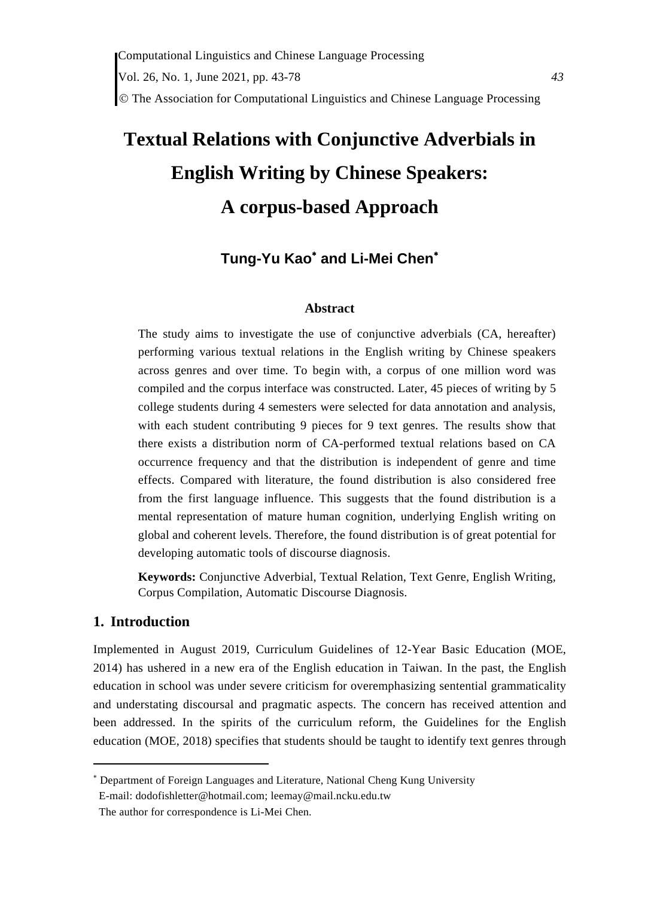# **Textual Relations with Conjunctive Adverbials in English Writing by Chinese Speakers: A corpus-based Approach**

# Tung-Yu Kao<sup>\*</sup> and Li-Mei Chen<sup>\*</sup>

### **Abstract**

The study aims to investigate the use of conjunctive adverbials (CA, hereafter) performing various textual relations in the English writing by Chinese speakers across genres and over time. To begin with, a corpus of one million word was compiled and the corpus interface was constructed. Later, 45 pieces of writing by 5 college students during 4 semesters were selected for data annotation and analysis, with each student contributing 9 pieces for 9 text genres. The results show that there exists a distribution norm of CA-performed textual relations based on CA occurrence frequency and that the distribution is independent of genre and time effects. Compared with literature, the found distribution is also considered free from the first language influence. This suggests that the found distribution is a mental representation of mature human cognition, underlying English writing on global and coherent levels. Therefore, the found distribution is of great potential for developing automatic tools of discourse diagnosis.

**Keywords:** Conjunctive Adverbial, Textual Relation, Text Genre, English Writing, Corpus Compilation, Automatic Discourse Diagnosis.

## **1. Introduction**

Implemented in August 2019, Curriculum Guidelines of 12-Year Basic Education (MOE, 2014) has ushered in a new era of the English education in Taiwan. In the past, the English education in school was under severe criticism for overemphasizing sentential grammaticality and understating discoursal and pragmatic aspects. The concern has received attention and been addressed. In the spirits of the curriculum reform, the Guidelines for the English education (MOE, 2018) specifies that students should be taught to identify text genres through

 Department of Foreign Languages and Literature, National Cheng Kung University E-mail: dodofishletter@hotmail.com; leemay@mail.ncku.edu.tw

The author for correspondence is Li-Mei Chen.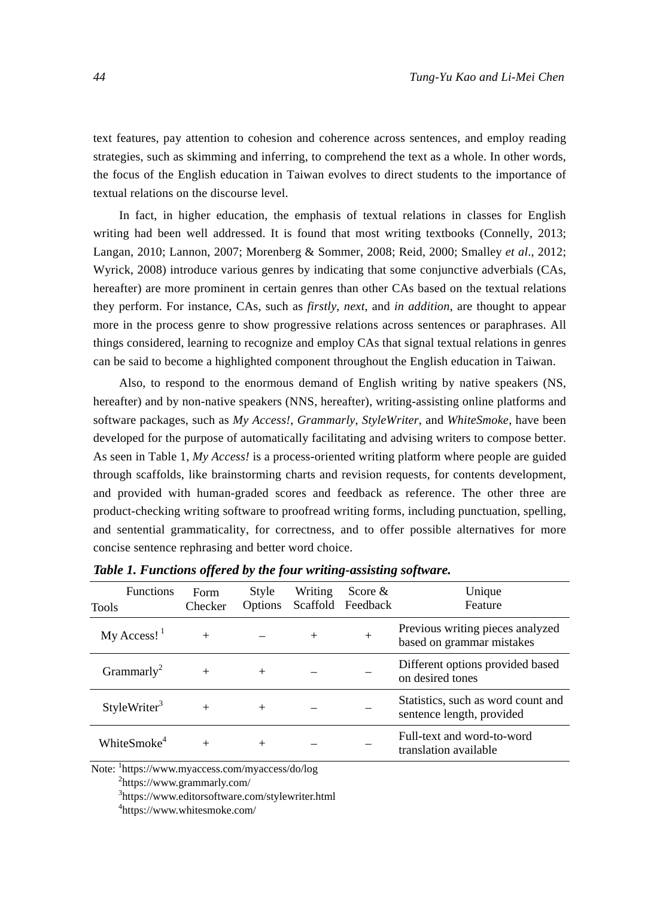text features, pay attention to cohesion and coherence across sentences, and employ reading strategies, such as skimming and inferring, to comprehend the text as a whole. In other words, the focus of the English education in Taiwan evolves to direct students to the importance of textual relations on the discourse level.

In fact, in higher education, the emphasis of textual relations in classes for English writing had been well addressed. It is found that most writing textbooks (Connelly, 2013; Langan, 2010; Lannon, 2007; Morenberg & Sommer, 2008; Reid, 2000; Smalley *et al*., 2012; Wyrick, 2008) introduce various genres by indicating that some conjunctive adverbials (CAs, hereafter) are more prominent in certain genres than other CAs based on the textual relations they perform. For instance, CAs, such as *firstly*, *next*, and *in addition*, are thought to appear more in the process genre to show progressive relations across sentences or paraphrases. All things considered, learning to recognize and employ CAs that signal textual relations in genres can be said to become a highlighted component throughout the English education in Taiwan.

Also, to respond to the enormous demand of English writing by native speakers (NS, hereafter) and by non-native speakers (NNS, hereafter), writing-assisting online platforms and software packages, such as *My Access!*, *Grammarly*, *StyleWriter*, and *WhiteSmoke*, have been developed for the purpose of automatically facilitating and advising writers to compose better. As seen in Table 1, *My Access!* is a process-oriented writing platform where people are guided through scaffolds, like brainstorming charts and revision requests, for contents development, and provided with human-graded scores and feedback as reference. The other three are product-checking writing software to proofread writing forms, including punctuation, spelling, and sentential grammaticality, for correctness, and to offer possible alternatives for more concise sentence rephrasing and better word choice.

| <b>Functions</b><br><b>Tools</b> | Form<br>Checker | Style<br><b>Options</b> | <b>Writing</b> | Score $\&$<br>Scaffold Feedback | Unique<br>Feature                                               |
|----------------------------------|-----------------|-------------------------|----------------|---------------------------------|-----------------------------------------------------------------|
| $My Access!$ <sup>1</sup>        |                 |                         | $^{+}$         | $+$                             | Previous writing pieces analyzed<br>based on grammar mistakes   |
| Grammarly <sup>2</sup>           |                 | $^{+}$                  |                |                                 | Different options provided based<br>on desired tones            |
| StyleWriter <sup>3</sup>         |                 |                         |                |                                 | Statistics, such as word count and<br>sentence length, provided |
| WhiteSmoke <sup>4</sup>          |                 |                         |                |                                 | Full-text and word-to-word<br>translation available             |

*Table 1. Functions offered by the four writing-assisting software.* 

Note: <sup>1</sup>https://www.myaccess.com/myaccess/do/log<br><sup>2</sup>https://www.grammerly.com/

https://www.grammarly.com/

3 https://www.editorsoftware.com/stylewriter.html

4 https://www.whitesmoke.com/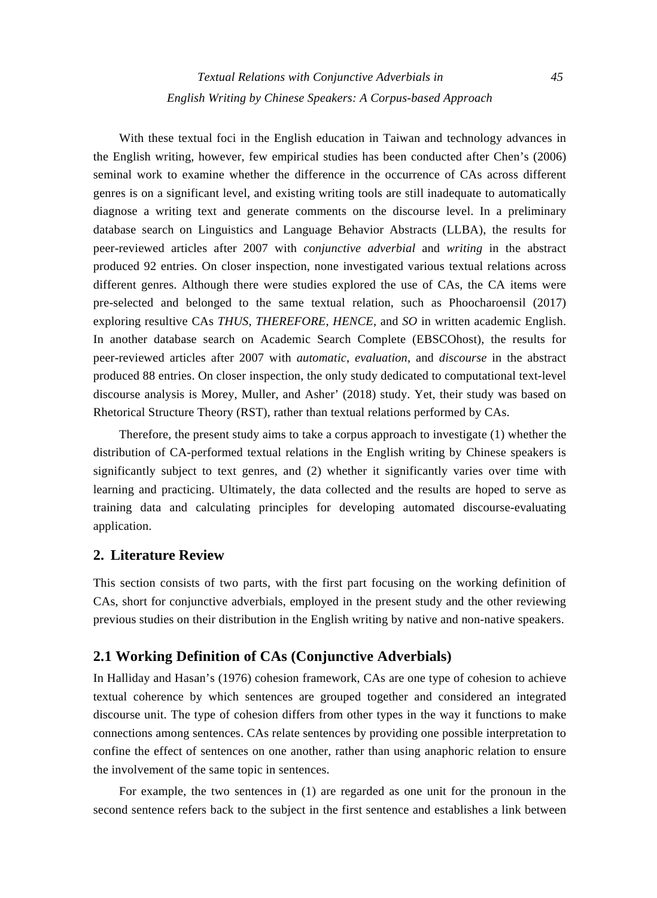With these textual foci in the English education in Taiwan and technology advances in the English writing, however, few empirical studies has been conducted after Chen's (2006) seminal work to examine whether the difference in the occurrence of CAs across different genres is on a significant level, and existing writing tools are still inadequate to automatically diagnose a writing text and generate comments on the discourse level. In a preliminary database search on Linguistics and Language Behavior Abstracts (LLBA), the results for peer-reviewed articles after 2007 with *conjunctive adverbial* and *writing* in the abstract produced 92 entries. On closer inspection, none investigated various textual relations across different genres. Although there were studies explored the use of CAs, the CA items were pre-selected and belonged to the same textual relation, such as Phoocharoensil (2017) exploring resultive CAs *THUS*, *THEREFORE*, *HENCE*, and *SO* in written academic English. In another database search on Academic Search Complete (EBSCOhost), the results for peer-reviewed articles after 2007 with *automatic*, *evaluation*, and *discourse* in the abstract produced 88 entries. On closer inspection, the only study dedicated to computational text-level discourse analysis is Morey, Muller, and Asher' (2018) study. Yet, their study was based on Rhetorical Structure Theory (RST), rather than textual relations performed by CAs.

Therefore, the present study aims to take a corpus approach to investigate (1) whether the distribution of CA-performed textual relations in the English writing by Chinese speakers is significantly subject to text genres, and (2) whether it significantly varies over time with learning and practicing. Ultimately, the data collected and the results are hoped to serve as training data and calculating principles for developing automated discourse-evaluating application.

# **2. Literature Review**

This section consists of two parts, with the first part focusing on the working definition of CAs, short for conjunctive adverbials, employed in the present study and the other reviewing previous studies on their distribution in the English writing by native and non-native speakers.

# **2.1 Working Definition of CAs (Conjunctive Adverbials)**

In Halliday and Hasan's (1976) cohesion framework, CAs are one type of cohesion to achieve textual coherence by which sentences are grouped together and considered an integrated discourse unit. The type of cohesion differs from other types in the way it functions to make connections among sentences. CAs relate sentences by providing one possible interpretation to confine the effect of sentences on one another, rather than using anaphoric relation to ensure the involvement of the same topic in sentences.

For example, the two sentences in (1) are regarded as one unit for the pronoun in the second sentence refers back to the subject in the first sentence and establishes a link between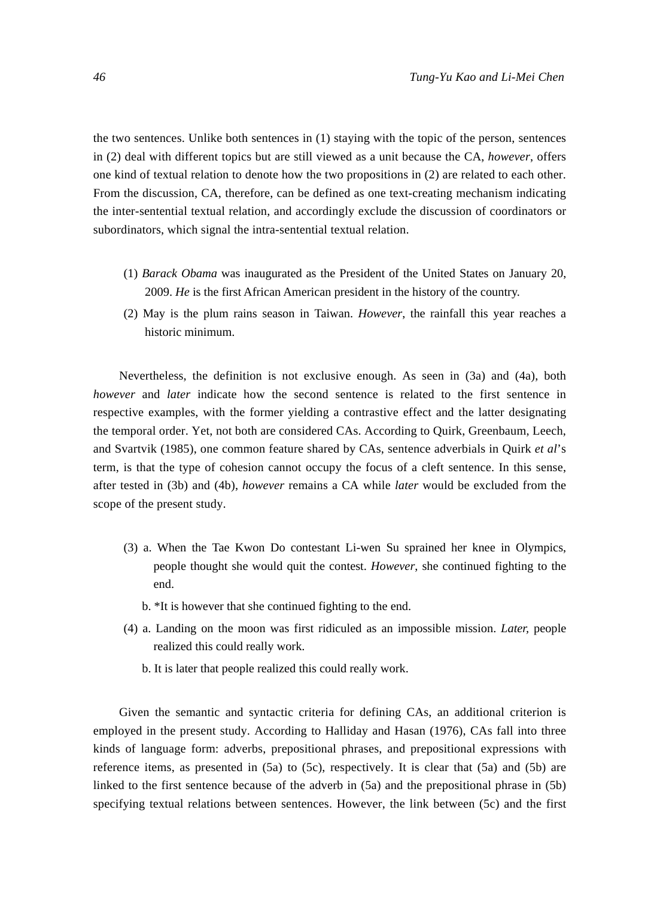the two sentences. Unlike both sentences in (1) staying with the topic of the person, sentences in (2) deal with different topics but are still viewed as a unit because the CA, *however*, offers one kind of textual relation to denote how the two propositions in (2) are related to each other. From the discussion, CA, therefore, can be defined as one text-creating mechanism indicating the inter-sentential textual relation, and accordingly exclude the discussion of coordinators or subordinators, which signal the intra-sentential textual relation.

- (1) *Barack Obama* was inaugurated as the President of the United States on January 20, 2009. *He* is the first African American president in the history of the country.
- (2) May is the plum rains season in Taiwan. *However*, the rainfall this year reaches a historic minimum.

Nevertheless, the definition is not exclusive enough. As seen in (3a) and (4a), both *however* and *later* indicate how the second sentence is related to the first sentence in respective examples, with the former yielding a contrastive effect and the latter designating the temporal order. Yet, not both are considered CAs. According to Quirk, Greenbaum, Leech, and Svartvik (1985), one common feature shared by CAs, sentence adverbials in Quirk *et al*'s term, is that the type of cohesion cannot occupy the focus of a cleft sentence. In this sense, after tested in (3b) and (4b), *however* remains a CA while *later* would be excluded from the scope of the present study.

- (3) a. When the Tae Kwon Do contestant Li-wen Su sprained her knee in Olympics, people thought she would quit the contest. *However*, she continued fighting to the end.
	- b. \*It is however that she continued fighting to the end.
- (4) a. Landing on the moon was first ridiculed as an impossible mission. *Later,* people realized this could really work.
	- b. It is later that people realized this could really work.

Given the semantic and syntactic criteria for defining CAs, an additional criterion is employed in the present study. According to Halliday and Hasan (1976), CAs fall into three kinds of language form: adverbs, prepositional phrases, and prepositional expressions with reference items, as presented in (5a) to (5c), respectively. It is clear that (5a) and (5b) are linked to the first sentence because of the adverb in (5a) and the prepositional phrase in (5b) specifying textual relations between sentences. However, the link between (5c) and the first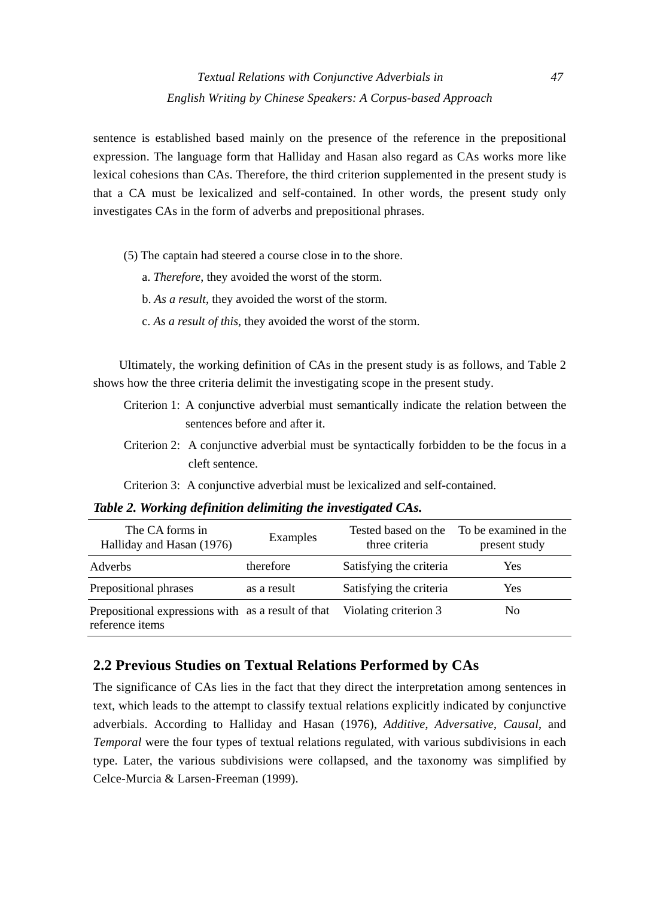sentence is established based mainly on the presence of the reference in the prepositional expression. The language form that Halliday and Hasan also regard as CAs works more like lexical cohesions than CAs. Therefore, the third criterion supplemented in the present study is that a CA must be lexicalized and self-contained. In other words, the present study only investigates CAs in the form of adverbs and prepositional phrases.

- (5) The captain had steered a course close in to the shore.
	- a. *Therefore*, they avoided the worst of the storm.
	- b. *As a result*, they avoided the worst of the storm.
	- c. *As a result of this*, they avoided the worst of the storm.

Ultimately, the working definition of CAs in the present study is as follows, and Table 2 shows how the three criteria delimit the investigating scope in the present study.

- Criterion 1: A conjunctive adverbial must semantically indicate the relation between the sentences before and after it.
- Criterion 2: A conjunctive adverbial must be syntactically forbidden to be the focus in a cleft sentence.

Criterion 3: A conjunctive adverbial must be lexicalized and self-contained.

The CA forms in The CA forms in Tested based on the Halliday and Hasan (1976) Examples Tested based on the three criteria three criteria To be examined in the present study Adverbs therefore Satisfying the criteria Yes Prepositional phrases as a result Satisfying the criteria Yes Prepositional expressions with as a result of that Violating criterion 3 No

## *Table 2. Working definition delimiting the investigated CAs.*

reference items

**2.2 Previous Studies on Textual Relations Performed by CAs** 

The significance of CAs lies in the fact that they direct the interpretation among sentences in text, which leads to the attempt to classify textual relations explicitly indicated by conjunctive adverbials. According to Halliday and Hasan (1976), *Additive*, *Adversative*, *Causal*, and *Temporal* were the four types of textual relations regulated, with various subdivisions in each type. Later, the various subdivisions were collapsed, and the taxonomy was simplified by Celce-Murcia & Larsen-Freeman (1999).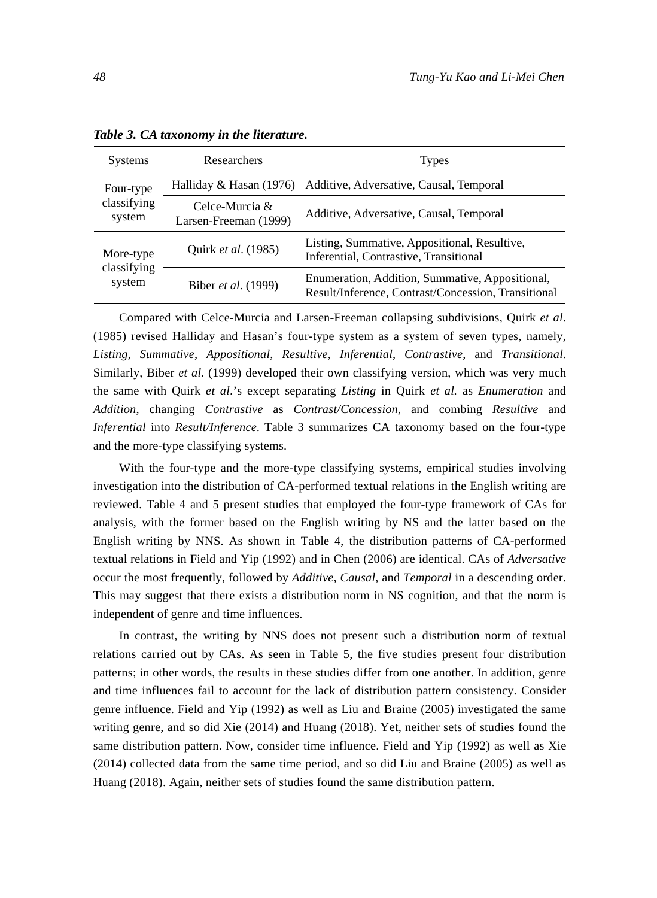| <b>Systems</b>                     | Researchers                             | <b>Types</b>                                                                                           |
|------------------------------------|-----------------------------------------|--------------------------------------------------------------------------------------------------------|
| Four-type                          | Halliday & Hasan (1976)                 | Additive, Adversative, Causal, Temporal                                                                |
| classifying<br>system              | Celce-Murcia &<br>Larsen-Freeman (1999) | Additive, Adversative, Causal, Temporal                                                                |
| More-type<br>classifying<br>system | Quirk et al. (1985)                     | Listing, Summative, Appositional, Resultive,<br>Inferential, Contrastive, Transitional                 |
|                                    | Biber et al. (1999)                     | Enumeration, Addition, Summative, Appositional,<br>Result/Inference, Contrast/Concession, Transitional |

*Table 3. CA taxonomy in the literature.* 

Compared with Celce-Murcia and Larsen-Freeman collapsing subdivisions, Quirk *et al*. (1985) revised Halliday and Hasan's four-type system as a system of seven types, namely, *Listing*, *Summative*, *Appositional*, *Resultive*, *Inferential*, *Contrastive*, and *Transitional*. Similarly, Biber *et al*. (1999) developed their own classifying version, which was very much the same with Quirk *et al*.'s except separating *Listing* in Quirk *et al.* as *Enumeration* and *Addition*, changing *Contrastive* as *Contrast/Concession*, and combing *Resultive* and *Inferential* into *Result/Inference*. Table 3 summarizes CA taxonomy based on the four-type and the more-type classifying systems.

With the four-type and the more-type classifying systems, empirical studies involving investigation into the distribution of CA-performed textual relations in the English writing are reviewed. Table 4 and 5 present studies that employed the four-type framework of CAs for analysis, with the former based on the English writing by NS and the latter based on the English writing by NNS. As shown in Table 4, the distribution patterns of CA-performed textual relations in Field and Yip (1992) and in Chen (2006) are identical. CAs of *Adversative* occur the most frequently, followed by *Additive*, *Causal*, and *Temporal* in a descending order. This may suggest that there exists a distribution norm in NS cognition, and that the norm is independent of genre and time influences.

In contrast, the writing by NNS does not present such a distribution norm of textual relations carried out by CAs. As seen in Table 5, the five studies present four distribution patterns; in other words, the results in these studies differ from one another. In addition, genre and time influences fail to account for the lack of distribution pattern consistency. Consider genre influence. Field and Yip (1992) as well as Liu and Braine (2005) investigated the same writing genre, and so did Xie (2014) and Huang (2018). Yet, neither sets of studies found the same distribution pattern. Now, consider time influence. Field and Yip (1992) as well as Xie (2014) collected data from the same time period, and so did Liu and Braine (2005) as well as Huang (2018). Again, neither sets of studies found the same distribution pattern.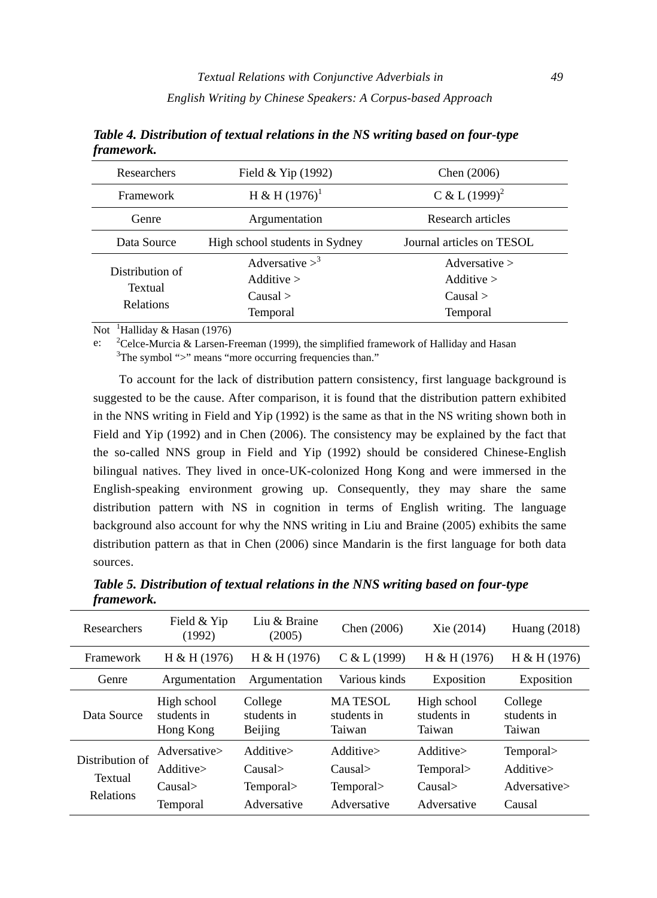| Researchers                                    | Field $&$ Yip (1992)                                             | Chen (2006)                                                    |
|------------------------------------------------|------------------------------------------------------------------|----------------------------------------------------------------|
| Framework                                      | H & H $(1976)^1$                                                 | C & L $(1999)^2$                                               |
| Genre                                          | Argumentation                                                    | Research articles                                              |
| Data Source                                    | High school students in Sydney                                   | Journal articles on TESOL                                      |
| Distribution of<br>Textual<br><b>Relations</b> | Adversative $>^3$<br>Additive $>$<br>Causal ><br><b>Temporal</b> | Adversative $>$<br>Additive $>$<br>Causal ><br><b>Temporal</b> |

*Table 4. Distribution of textual relations in the NS writing based on four-type framework.* 

Not <sup>1</sup>Halliday & Hasan (1976)

 $\mathbf{e}$ <sup>2</sup>Celce-Murcia & Larsen-Freeman (1999), the simplified framework of Halliday and Hasan <sup>3</sup>The symbol ">" means "more essuring frequencies than" <sup>3</sup>The symbol ">" means "more occurring frequencies than."

To account for the lack of distribution pattern consistency, first language background is suggested to be the cause. After comparison, it is found that the distribution pattern exhibited in the NNS writing in Field and Yip (1992) is the same as that in the NS writing shown both in Field and Yip (1992) and in Chen (2006). The consistency may be explained by the fact that the so-called NNS group in Field and Yip (1992) should be considered Chinese-English bilingual natives. They lived in once-UK-colonized Hong Kong and were immersed in the English-speaking environment growing up. Consequently, they may share the same distribution pattern with NS in cognition in terms of English writing. The language background also account for why the NNS writing in Liu and Braine (2005) exhibits the same distribution pattern as that in Chen (2006) since Mandarin is the first language for both data sources.

| Researchers                                    | Field & Yip<br>(1992)                           | Liu & Braine<br>(2005)                          | Chen $(2006)$                                    | Xie (2014)                                      | Huang $(2018)$                                   |
|------------------------------------------------|-------------------------------------------------|-------------------------------------------------|--------------------------------------------------|-------------------------------------------------|--------------------------------------------------|
| Framework                                      | H & H (1976)                                    | H & H (1976)                                    | C & L(1999)                                      | H & H (1976)                                    | H & H (1976)                                     |
| Genre                                          | Argumentation                                   | Argumentation                                   | Various kinds                                    | Exposition                                      | Exposition                                       |
| Data Source                                    | High school<br>students in<br>Hong Kong         | College<br>students in<br>Beijing               | <b>MATESOL</b><br>students in<br>Taiwan          | High school<br>students in<br>Taiwan            | College<br>students in<br>Taiwan                 |
| Distribution of<br>Textual<br><b>Relations</b> | Adversative><br>Additive><br>Causal<br>Temporal | Additive><br>Causal<br>Temporal><br>Adversative | Additive><br>Causal><br>Temporal><br>Adversative | Additive><br>Temporal><br>Causal<br>Adversative | Temporal><br>Additive><br>Adversative><br>Causal |

*Table 5. Distribution of textual relations in the NNS writing based on four-type framework.*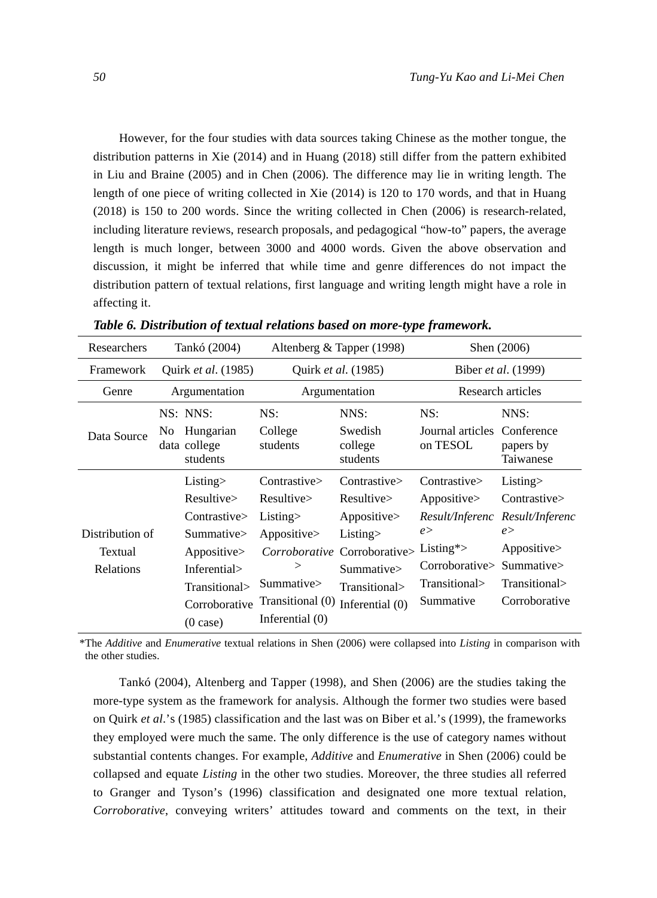However, for the four studies with data sources taking Chinese as the mother tongue, the distribution patterns in Xie (2014) and in Huang (2018) still differ from the pattern exhibited in Liu and Braine (2005) and in Chen (2006). The difference may lie in writing length. The length of one piece of writing collected in Xie (2014) is 120 to 170 words, and that in Huang (2018) is 150 to 200 words. Since the writing collected in Chen (2006) is research-related, including literature reviews, research proposals, and pedagogical "how-to" papers, the average length is much longer, between 3000 and 4000 words. Given the above observation and discussion, it might be inferred that while time and genre differences do not impact the distribution pattern of textual relations, first language and writing length might have a role in affecting it.

| Researchers     |                     | Tankó (2004)                          | Altenberg & Tapper (1998) |                                | Shen (2006)                             |                        |  |
|-----------------|---------------------|---------------------------------------|---------------------------|--------------------------------|-----------------------------------------|------------------------|--|
| Framework       | Quirk et al. (1985) |                                       |                           | Quirk et al. (1985)            | Biber <i>et al.</i> (1999)              |                        |  |
| Genre           | Argumentation       |                                       |                           | Argumentation                  | Research articles                       |                        |  |
|                 |                     | NS: NNS:                              | NS:                       | NNS:                           | NS:                                     | NNS:                   |  |
| Data Source     | No.                 | Hungarian<br>data college<br>students | College<br>students       | Swedish<br>college<br>students | Journal articles Conference<br>on TESOL | papers by<br>Taiwanese |  |
|                 |                     | Listing>                              | Contrastive>              | Contrastive>                   | Contrastive>                            | Listing>               |  |
|                 |                     | Resultive                             | Resultive                 | Resultive                      | Appositive>                             | Contrastive>           |  |
|                 |                     | Contrastive>                          | Listing>                  | Appositive>                    | Result/Inferenc                         | Result/Inferenc        |  |
| Distribution of |                     | Summative>                            | Appositive>               | Listing>                       | e >                                     | e >                    |  |
| Textual         |                     | Appositive>                           |                           | Corroborative Corroborative>   | Listing $\approx$                       | Appositive>            |  |
| Relations       |                     | Inferential>                          | >                         | Summative>                     | Corroborative                           | Summative              |  |
|                 |                     | Transitional>                         | Summative>                | Transitional>                  | Transitional>                           | Transitional>          |  |
|                 | Corroborative       |                                       | Transitional (0)          | Inferential $(0)$              | Summative                               | Corroborative          |  |
|                 |                     | (0 case)                              | Inferential $(0)$         |                                |                                         |                        |  |

*Table 6. Distribution of textual relations based on more-type framework.* 

\*The *Additive* and *Enumerative* textual relations in Shen (2006) were collapsed into *Listing* in comparison with the other studies.

Tankó (2004), Altenberg and Tapper (1998), and Shen (2006) are the studies taking the more-type system as the framework for analysis. Although the former two studies were based on Quirk *et al*.'s (1985) classification and the last was on Biber et al.'s (1999), the frameworks they employed were much the same. The only difference is the use of category names without substantial contents changes. For example, *Additive* and *Enumerative* in Shen (2006) could be collapsed and equate *Listing* in the other two studies. Moreover, the three studies all referred to Granger and Tyson's (1996) classification and designated one more textual relation, *Corroborative*, conveying writers' attitudes toward and comments on the text, in their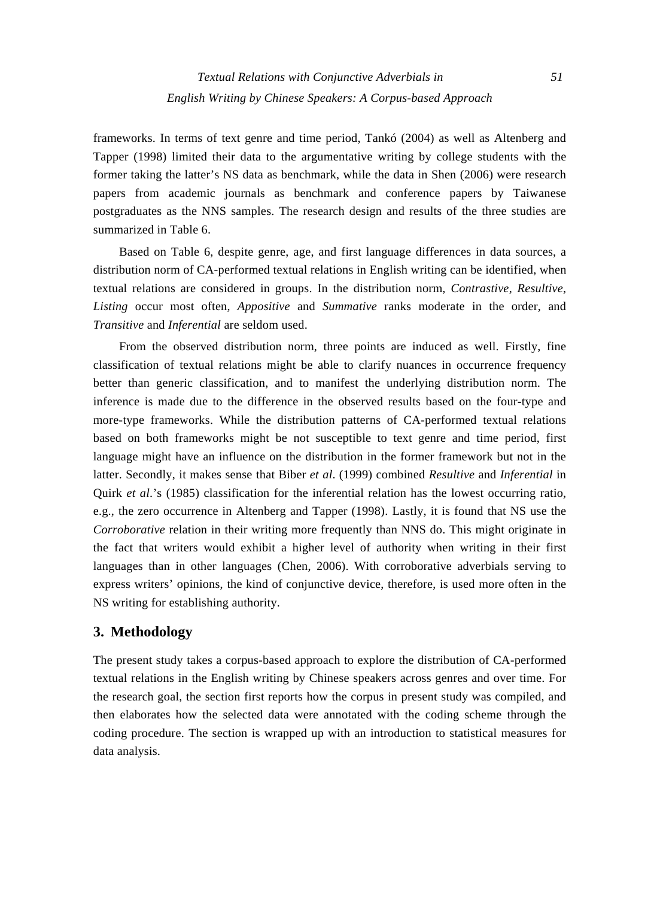frameworks. In terms of text genre and time period, Tankó (2004) as well as Altenberg and Tapper (1998) limited their data to the argumentative writing by college students with the former taking the latter's NS data as benchmark, while the data in Shen (2006) were research papers from academic journals as benchmark and conference papers by Taiwanese postgraduates as the NNS samples. The research design and results of the three studies are summarized in Table 6.

Based on Table 6, despite genre, age, and first language differences in data sources, a distribution norm of CA-performed textual relations in English writing can be identified, when textual relations are considered in groups. In the distribution norm, *Contrastive*, *Resultive*, *Listing* occur most often, *Appositive* and *Summative* ranks moderate in the order, and *Transitive* and *Inferential* are seldom used.

From the observed distribution norm, three points are induced as well. Firstly, fine classification of textual relations might be able to clarify nuances in occurrence frequency better than generic classification, and to manifest the underlying distribution norm. The inference is made due to the difference in the observed results based on the four-type and more-type frameworks. While the distribution patterns of CA-performed textual relations based on both frameworks might be not susceptible to text genre and time period, first language might have an influence on the distribution in the former framework but not in the latter. Secondly, it makes sense that Biber *et al*. (1999) combined *Resultive* and *Inferential* in Quirk *et al*.'s (1985) classification for the inferential relation has the lowest occurring ratio, e.g., the zero occurrence in Altenberg and Tapper (1998). Lastly, it is found that NS use the *Corroborative* relation in their writing more frequently than NNS do. This might originate in the fact that writers would exhibit a higher level of authority when writing in their first languages than in other languages (Chen, 2006). With corroborative adverbials serving to express writers' opinions, the kind of conjunctive device, therefore, is used more often in the NS writing for establishing authority.

# **3. Methodology**

The present study takes a corpus-based approach to explore the distribution of CA-performed textual relations in the English writing by Chinese speakers across genres and over time. For the research goal, the section first reports how the corpus in present study was compiled, and then elaborates how the selected data were annotated with the coding scheme through the coding procedure. The section is wrapped up with an introduction to statistical measures for data analysis.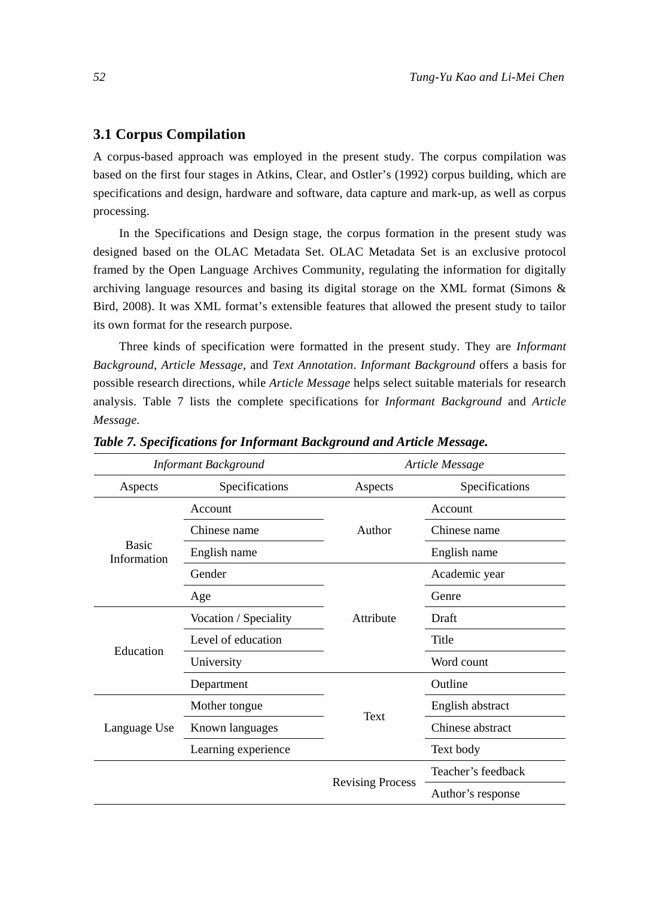## **3.1 Corpus Compilation**

A corpus-based approach was employed in the present study. The corpus compilation was based on the first four stages in Atkins, Clear, and Ostler's (1992) corpus building, which are specifications and design, hardware and software, data capture and mark-up, as well as corpus processing.

In the Specifications and Design stage, the corpus formation in the present study was designed based on the OLAC Metadata Set. OLAC Metadata Set is an exclusive protocol framed by the Open Language Archives Community, regulating the information for digitally archiving language resources and basing its digital storage on the XML format (Simons & Bird, 2008). It was XML format's extensible features that allowed the present study to tailor its own format for the research purpose.

Three kinds of specification were formatted in the present study. They are *Informant Background*, *Article Message*, and *Text Annotation*. *Informant Background* offers a basis for possible research directions, while *Article Message* helps select suitable materials for research analysis. Table 7 lists the complete specifications for *Informant Background* and *Article Message*.

|                             | <b>Informant Background</b> |                                 | Article Message    |
|-----------------------------|-----------------------------|---------------------------------|--------------------|
| Aspects                     | Specifications              | Aspects                         | Specifications     |
|                             | Account                     |                                 | Account            |
|                             | Chinese name                | Author                          | Chinese name       |
| <b>Basic</b><br>Information | English name                |                                 | English name       |
|                             | Gender                      |                                 | Academic year      |
|                             | Age                         |                                 | Genre              |
|                             | Vocation / Speciality       | Attribute                       | Draft              |
| Education                   | Level of education          | Text<br><b>Revising Process</b> | Title              |
|                             | University                  |                                 | Word count         |
|                             | Department                  |                                 | Outline            |
|                             | Mother tongue               |                                 | English abstract   |
| Language Use                | Known languages             |                                 | Chinese abstract   |
|                             | Learning experience         |                                 | Text body          |
|                             |                             |                                 | Teacher's feedback |
|                             |                             |                                 | Author's response  |

*Table 7. Specifications for Informant Background and Article Message.*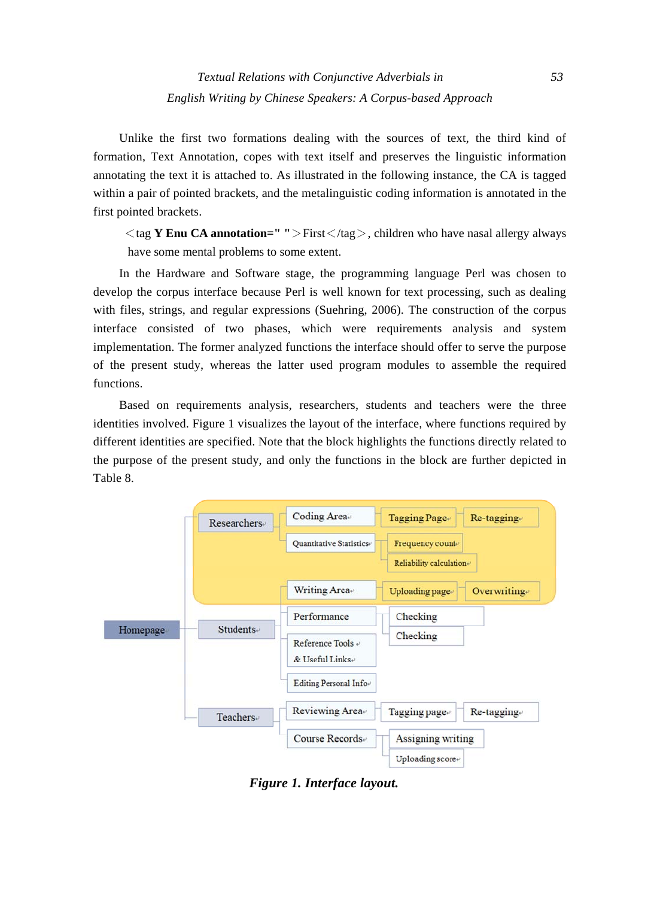Unlike the first two formations dealing with the sources of text, the third kind of formation, Text Annotation, copes with text itself and preserves the linguistic information annotating the text it is attached to. As illustrated in the following instance, the CA is tagged within a pair of pointed brackets, and the metalinguistic coding information is annotated in the first pointed brackets.

<tag **Y Enu CA annotation=" "**>First</tag>, children who have nasal allergy always have some mental problems to some extent.

In the Hardware and Software stage, the programming language Perl was chosen to develop the corpus interface because Perl is well known for text processing, such as dealing with files, strings, and regular expressions (Suehring, 2006). The construction of the corpus interface consisted of two phases, which were requirements analysis and system implementation. The former analyzed functions the interface should offer to serve the purpose of the present study, whereas the latter used program modules to assemble the required functions.

Based on requirements analysis, researchers, students and teachers were the three identities involved. Figure 1 visualizes the layout of the interface, where functions required by different identities are specified. Note that the block highlights the functions directly related to the purpose of the present study, and only the functions in the block are further depicted in Table 8.



*Figure 1. Interface layout.*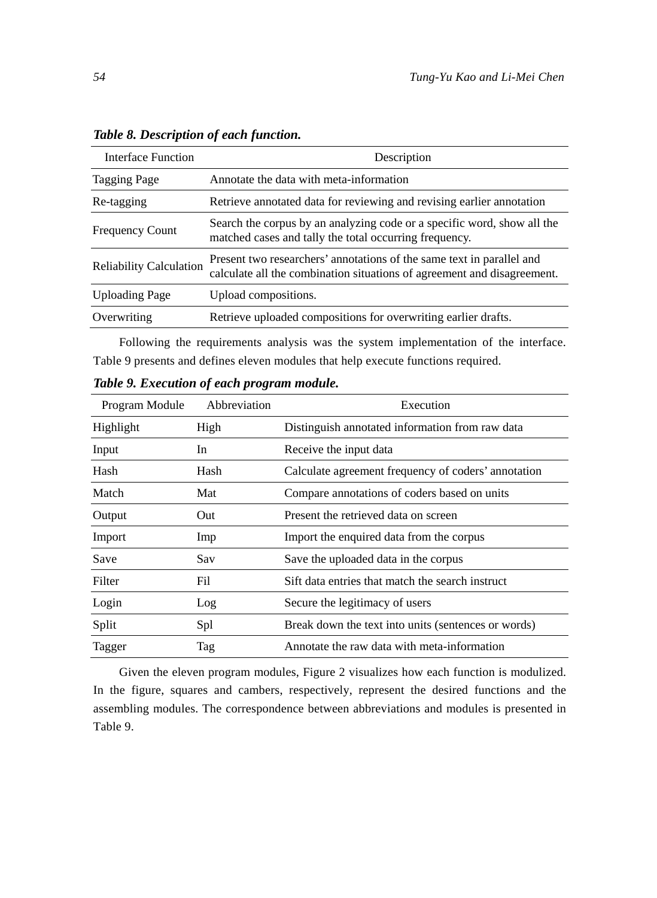| Interface Function             | Description                                                                                                                                      |
|--------------------------------|--------------------------------------------------------------------------------------------------------------------------------------------------|
| <b>Tagging Page</b>            | Annotate the data with meta-information                                                                                                          |
| Re-tagging                     | Retrieve annotated data for reviewing and revising earlier annotation                                                                            |
| <b>Frequency Count</b>         | Search the corpus by an analyzing code or a specific word, show all the<br>matched cases and tally the total occurring frequency.                |
| <b>Reliability Calculation</b> | Present two researchers' annotations of the same text in parallel and<br>calculate all the combination situations of agreement and disagreement. |
| <b>Uploading Page</b>          | Upload compositions.                                                                                                                             |
| Overwriting                    | Retrieve uploaded compositions for overwriting earlier drafts.                                                                                   |

*Table 8. Description of each function.* 

Following the requirements analysis was the system implementation of the interface. Table 9 presents and defines eleven modules that help execute functions required.

*Table 9. Execution of each program module.* 

| Program Module | Abbreviation | Execution                                           |
|----------------|--------------|-----------------------------------------------------|
| Highlight      | High         | Distinguish annotated information from raw data     |
| Input          | In           | Receive the input data                              |
| Hash           | Hash         | Calculate agreement frequency of coders' annotation |
| Match          | Mat          | Compare annotations of coders based on units        |
| Output         | Out          | Present the retrieved data on screen                |
| Import         | Imp          | Import the enquired data from the corpus            |
| Save           | Sav          | Save the uploaded data in the corpus                |
| Filter         | Fil          | Sift data entries that match the search instruct    |
| Login          | Log          | Secure the legitimacy of users                      |
| Split          | Spl          | Break down the text into units (sentences or words) |
| Tagger         | Tag          | Annotate the raw data with meta-information         |

Given the eleven program modules, Figure 2 visualizes how each function is modulized. In the figure, squares and cambers, respectively, represent the desired functions and the assembling modules. The correspondence between abbreviations and modules is presented in Table 9.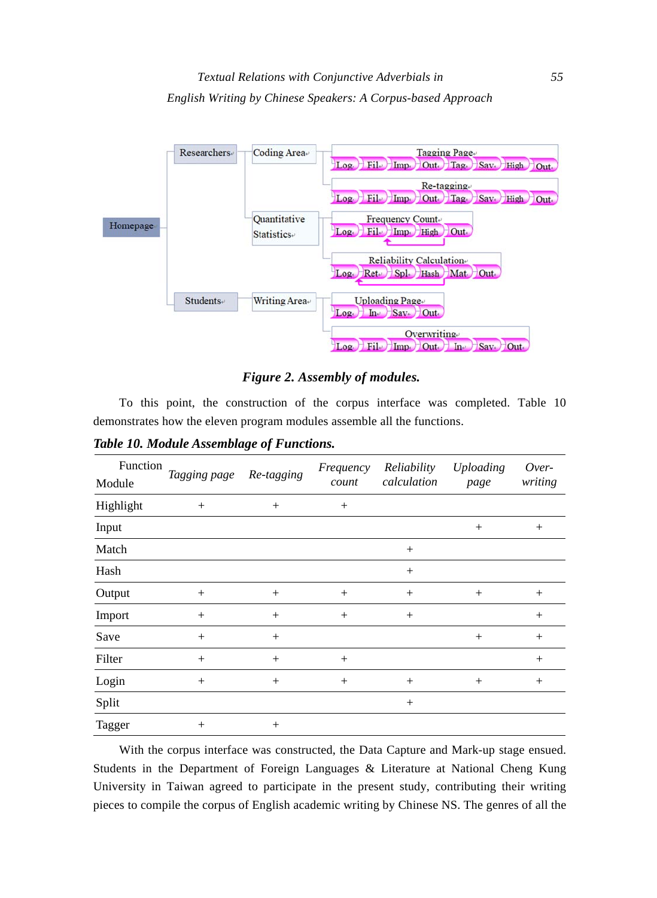

## *Figure 2. Assembly of modules.*

To this point, the construction of the corpus interface was completed. Table 10 demonstrates how the eleven program modules assemble all the functions.

*Table 10. Module Assemblage of Functions.* 

| Function<br>Module | Tagging page | Re-tagging | Frequency<br>count | Reliability<br>calculation | <b>Uploading</b><br>page | Over-<br>writing |
|--------------------|--------------|------------|--------------------|----------------------------|--------------------------|------------------|
| Highlight          | $+$          | $^{+}$     | $^{+}$             |                            |                          |                  |
| Input              |              |            |                    |                            | $^{+}$                   | $^{+}$           |
| Match              |              |            |                    | $^{+}$                     |                          |                  |
| Hash               |              |            |                    | $^{+}$                     |                          |                  |
| Output             | $+$          | $^{+}$     | $+$                | $^{+}$                     | $+$                      | $+$              |
| Import             | $+$          | $^{+}$     | $+$                | $^{+}$                     |                          | $^{+}$           |
| Save               | $^{+}$       | $^{+}$     |                    |                            | $^{+}$                   | $^{+}$           |
| Filter             | $^{+}$       | $^{+}$     | $^{+}$             |                            |                          | $^{+}$           |
| Login              | $+$          | $^{+}$     | $^{+}$             | $^{+}$                     | $^{+}$                   | $^{+}$           |
| Split              |              |            |                    | $^{+}$                     |                          |                  |
| Tagger             | $^{+}$       | $^{+}$     |                    |                            |                          |                  |

With the corpus interface was constructed, the Data Capture and Mark-up stage ensued. Students in the Department of Foreign Languages & Literature at National Cheng Kung University in Taiwan agreed to participate in the present study, contributing their writing pieces to compile the corpus of English academic writing by Chinese NS. The genres of all the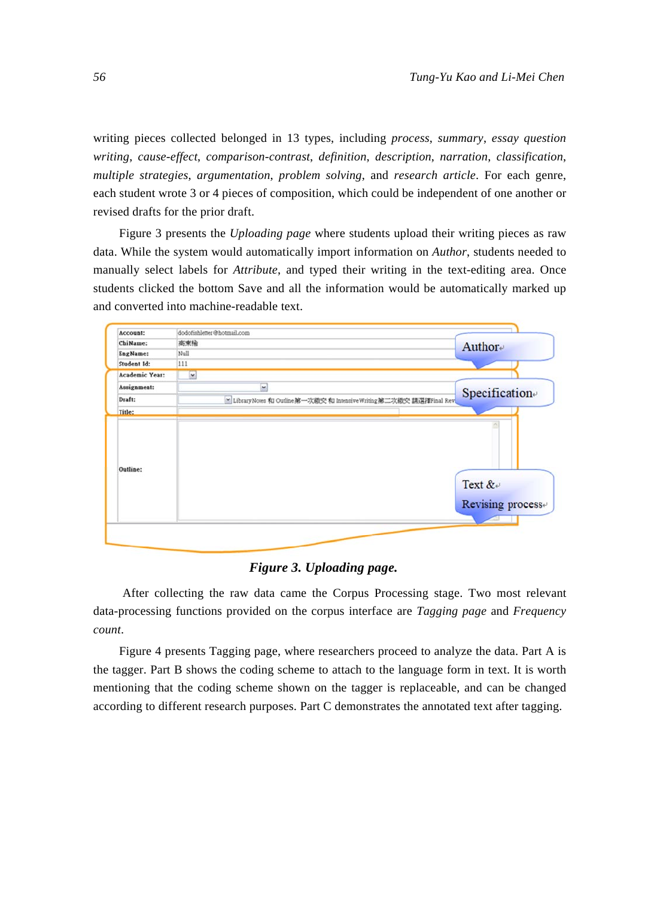writing pieces collected belonged in 13 types, including *process*, *summary*, *essay question writing*, *cause-effect*, *comparison-contrast*, *definition*, *description*, *narration*, *classification*, *multiple strategies*, *argumentation*, *problem solving*, and *research article*. For each genre, each student wrote 3 or 4 pieces of composition, which could be independent of one another or revised drafts for the prior draft.

Figure 3 presents the *Uploading page* where students upload their writing pieces as raw data. While the system would automatically import information on *Author*, students needed to manually select labels for *Attribute*, and typed their writing in the text-editing area. Once students clicked the bottom Save and all the information would be automatically marked up and converted into machine-readable text.

| Account:              | dodofishletter@hotmail.com                                         |                                         |
|-----------------------|--------------------------------------------------------------------|-----------------------------------------|
| ChiName:              | 高東榆                                                                | Author                                  |
| EngName:              | Null                                                               |                                         |
| Student Id:           | 111                                                                |                                         |
| <b>Academic Year:</b> | $\overline{\phantom{a}}$                                           |                                         |
| Assignment:           | $\overline{a}$                                                     | Specification                           |
| Draft:                | ※ Library Notes 和 Outline第一次繳交和 Intensive Writing第二次繳交請選擇Final Rev |                                         |
| Title:                |                                                                    |                                         |
|                       |                                                                    |                                         |
| Outline:              |                                                                    | Text &<br>Revising process <sub>e</sub> |

## *Figure 3. Uploading page.*

 After collecting the raw data came the Corpus Processing stage. Two most relevant data-processing functions provided on the corpus interface are *Tagging page* and *Frequency count*.

Figure 4 presents Tagging page, where researchers proceed to analyze the data. Part A is the tagger. Part B shows the coding scheme to attach to the language form in text. It is worth mentioning that the coding scheme shown on the tagger is replaceable, and can be changed according to different research purposes. Part C demonstrates the annotated text after tagging.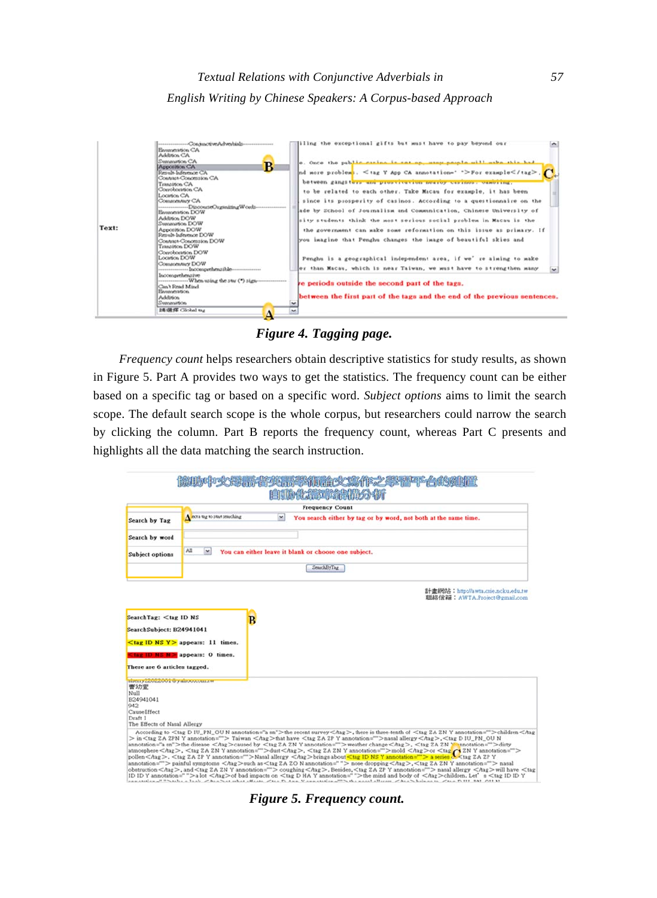

*Figure 4. Tagging page.* 

*Frequency count* helps researchers obtain descriptive statistics for study results, as shown in Figure 5. Part A provides two ways to get the statistics. The frequency count can be either based on a specific tag or based on a specific word. *Subject options* aims to limit the search scope. The default search scope is the whole corpus, but researchers could narrow the search by clicking the column. Part B reports the frequency count, whereas Part C presents and highlights all the data matching the search instruction.

| 化氟砷缩剂                                                                                          |                                                                                                                                                                                                                                                                                                                                                                                                                                                                                                                                                                                                                                                                                                                                                                                                                                                                                                                                                                                                                                                                                                                                                                                                                                                                                                                                                                                                                                                                                                                                                                                    |  |  |  |  |  |  |  |
|------------------------------------------------------------------------------------------------|------------------------------------------------------------------------------------------------------------------------------------------------------------------------------------------------------------------------------------------------------------------------------------------------------------------------------------------------------------------------------------------------------------------------------------------------------------------------------------------------------------------------------------------------------------------------------------------------------------------------------------------------------------------------------------------------------------------------------------------------------------------------------------------------------------------------------------------------------------------------------------------------------------------------------------------------------------------------------------------------------------------------------------------------------------------------------------------------------------------------------------------------------------------------------------------------------------------------------------------------------------------------------------------------------------------------------------------------------------------------------------------------------------------------------------------------------------------------------------------------------------------------------------------------------------------------------------|--|--|--|--|--|--|--|
|                                                                                                | <b>Frequency Count</b>                                                                                                                                                                                                                                                                                                                                                                                                                                                                                                                                                                                                                                                                                                                                                                                                                                                                                                                                                                                                                                                                                                                                                                                                                                                                                                                                                                                                                                                                                                                                                             |  |  |  |  |  |  |  |
| Search by Tag                                                                                  | A not a tag to start searching<br>×<br>You search either by tag or by word, not both at the same time.                                                                                                                                                                                                                                                                                                                                                                                                                                                                                                                                                                                                                                                                                                                                                                                                                                                                                                                                                                                                                                                                                                                                                                                                                                                                                                                                                                                                                                                                             |  |  |  |  |  |  |  |
| Search by word                                                                                 |                                                                                                                                                                                                                                                                                                                                                                                                                                                                                                                                                                                                                                                                                                                                                                                                                                                                                                                                                                                                                                                                                                                                                                                                                                                                                                                                                                                                                                                                                                                                                                                    |  |  |  |  |  |  |  |
| Subject options                                                                                | All<br>M.<br>You can either leave it blank or choose one subject.                                                                                                                                                                                                                                                                                                                                                                                                                                                                                                                                                                                                                                                                                                                                                                                                                                                                                                                                                                                                                                                                                                                                                                                                                                                                                                                                                                                                                                                                                                                  |  |  |  |  |  |  |  |
|                                                                                                | SearchByTag                                                                                                                                                                                                                                                                                                                                                                                                                                                                                                                                                                                                                                                                                                                                                                                                                                                                                                                                                                                                                                                                                                                                                                                                                                                                                                                                                                                                                                                                                                                                                                        |  |  |  |  |  |  |  |
|                                                                                                | 計畫網站: http://awta.csie.ncku.edu.tw<br>認証書信箱: AWTA.Project@gmail.com                                                                                                                                                                                                                                                                                                                                                                                                                                                                                                                                                                                                                                                                                                                                                                                                                                                                                                                                                                                                                                                                                                                                                                                                                                                                                                                                                                                                                                                                                                                |  |  |  |  |  |  |  |
| SearchSubject: B24941041<br>There are 6 articles tagged.<br><b>EDITY COULDULE TO ABOUT THE</b> | $\lt$ tag ID NS Y > appears: 11 times.<br>tag ID NS N = appears: 0 times.                                                                                                                                                                                                                                                                                                                                                                                                                                                                                                                                                                                                                                                                                                                                                                                                                                                                                                                                                                                                                                                                                                                                                                                                                                                                                                                                                                                                                                                                                                          |  |  |  |  |  |  |  |
| 曹幼堂<br>NuII<br>R24941041<br>942<br>Cause Effect<br>Draft 1<br>The Effects of Nasal Allergy     |                                                                                                                                                                                                                                                                                                                                                                                                                                                                                                                                                                                                                                                                                                                                                                                                                                                                                                                                                                                                                                                                                                                                                                                                                                                                                                                                                                                                                                                                                                                                                                                    |  |  |  |  |  |  |  |
|                                                                                                | According to <tag annotation="a sn" d="" iu="" n="" ou="" pn="">the recent survey <hag>, there is three tenth of <tag annotation="" y="" za="" zn="">children<hag<br>&gt; in<tag annotation="" y="" za="" zpn=""> Taiwan <hag>that have <tag annotation="" y="" za="" zp="">nasal allergy<hag>,<tag d="" iu_pn_ou="" n<br="">annotation="a en"&gt;the disease <hag>caused by <tag 2a="" 2n="" annotation="" y="">weather change <hag>, <tag 2a="" 2n="" mannotation="">dirty<br/>atmosphere<br/>Ang&gt;.<br/>Ang&gt;&gt;<br/>Ang&gt;2A 2N Y annotation=""&gt;dust<ang>&lt;<ang></ang></ang>or<br/>pollen <hag>. <tag annotation="" y="" za="" zp="">Nasal allergy <hag>brings about<tag annotation="" id="" ns="" y="">a series of <tag y<br="" za="" zp="">annotation=""&gt; painful symptoms &lt; hag&gt;such as <tag annotation=" " n="" za="" zo=""> nose dropping &lt; hag&gt;, <tag annotation="" y="" za="" zn=""> nasal<br/>obstruction <hag>, and <tag 2a="" 2n="" annotation="" y=""> coughing <hag>, Besides, <tag 2a="" 2p="" annotation="" y=""> nasal allergy <hag>will have <tag<br>ID ID Y annotation=""&gt;a lot <hag>of bad impacts on <tag annotation="" d="" ha="" y="">the mind and body of <hag>children. Let s<tag id="" y<br="">ADDITIONAL PRIVATE A LAST PARTY AT MAIL (HAMA PRIVATE PLAN VANDALIST) AND THE RAIL ATTACK PARTY BOARD IN PARTY AT THE ME PLAN TO</tag></hag></tag></hag></tag<br></hag></tag></hag></tag></hag></tag></tag></tag></tag></hag></tag></hag></tag></hag></tag></hag></tag></hag></tag></hag></tag></hag<br></tag></hag></tag> |  |  |  |  |  |  |  |

*Figure 5. Frequency count.*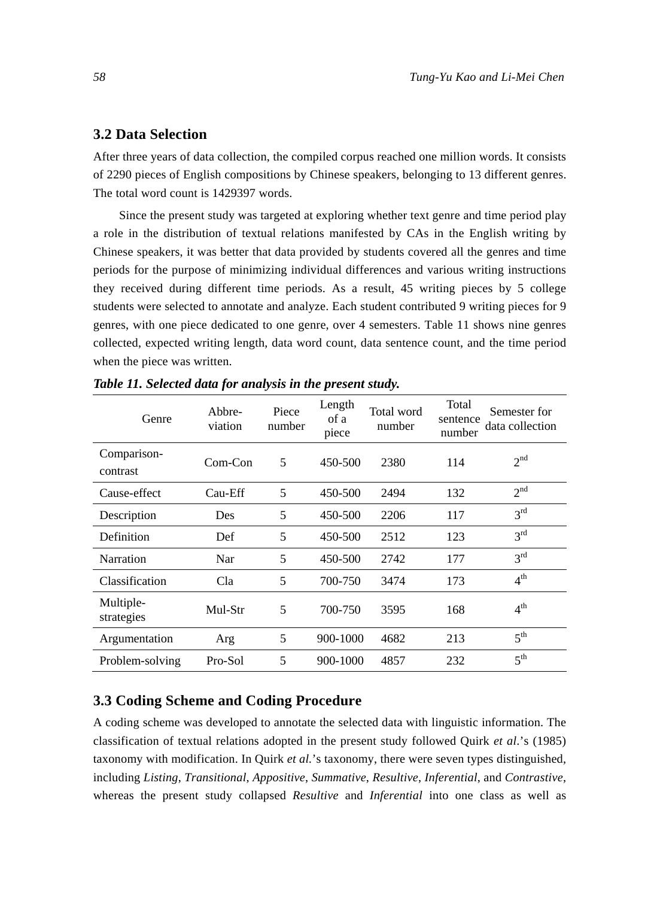## **3.2 Data Selection**

After three years of data collection, the compiled corpus reached one million words. It consists of 2290 pieces of English compositions by Chinese speakers, belonging to 13 different genres. The total word count is 1429397 words.

Since the present study was targeted at exploring whether text genre and time period play a role in the distribution of textual relations manifested by CAs in the English writing by Chinese speakers, it was better that data provided by students covered all the genres and time periods for the purpose of minimizing individual differences and various writing instructions they received during different time periods. As a result, 45 writing pieces by 5 college students were selected to annotate and analyze. Each student contributed 9 writing pieces for 9 genres, with one piece dedicated to one genre, over 4 semesters. Table 11 shows nine genres collected, expected writing length, data word count, data sentence count, and the time period when the piece was written.

| Genre                   | Abbre-<br>viation | Piece<br>number | Length<br>of a<br>piece | Total word<br>number | Total<br>sentence<br>number | Semester for<br>data collection |
|-------------------------|-------------------|-----------------|-------------------------|----------------------|-----------------------------|---------------------------------|
| Comparison-<br>contrast | $Com-Con$         | 5               | 450-500                 | 2380                 | 114                         | 2 <sup>nd</sup>                 |
| Cause-effect            | Cau-Eff           | 5               | 450-500                 | 2494                 | 132                         | 2 <sup>nd</sup>                 |
| Description             | Des               | 5               | 450-500                 | 2206                 | 117                         | 3 <sup>rd</sup>                 |
| Definition              | Def               | 5               | 450-500                 | 2512                 | 123                         | 3 <sup>rd</sup>                 |
| Narration               | Nar               | 5               | 450-500                 | 2742                 | 177                         | 3 <sup>rd</sup>                 |
| Classification          | Cla               | 5               | 700-750                 | 3474                 | 173                         | 4 <sup>th</sup>                 |
| Multiple-<br>strategies | Mul-Str           | 5               | 700-750                 | 3595                 | 168                         | 4 <sup>th</sup>                 |
| Argumentation           | Arg               | 5               | 900-1000                | 4682                 | 213                         | $5^{\text{th}}$                 |
| Problem-solving         | Pro-Sol           | 5               | 900-1000                | 4857                 | 232                         | 5 <sup>th</sup>                 |

*Table 11. Selected data for analysis in the present study.* 

## **3.3 Coding Scheme and Coding Procedure**

A coding scheme was developed to annotate the selected data with linguistic information. The classification of textual relations adopted in the present study followed Quirk *et al*.'s (1985) taxonomy with modification. In Quirk *et al.*'s taxonomy, there were seven types distinguished, including *Listing*, *Transitional*, *Appositive*, *Summative*, *Resultive*, *Inferential*, and *Contrastive*, whereas the present study collapsed *Resultive* and *Inferential* into one class as well as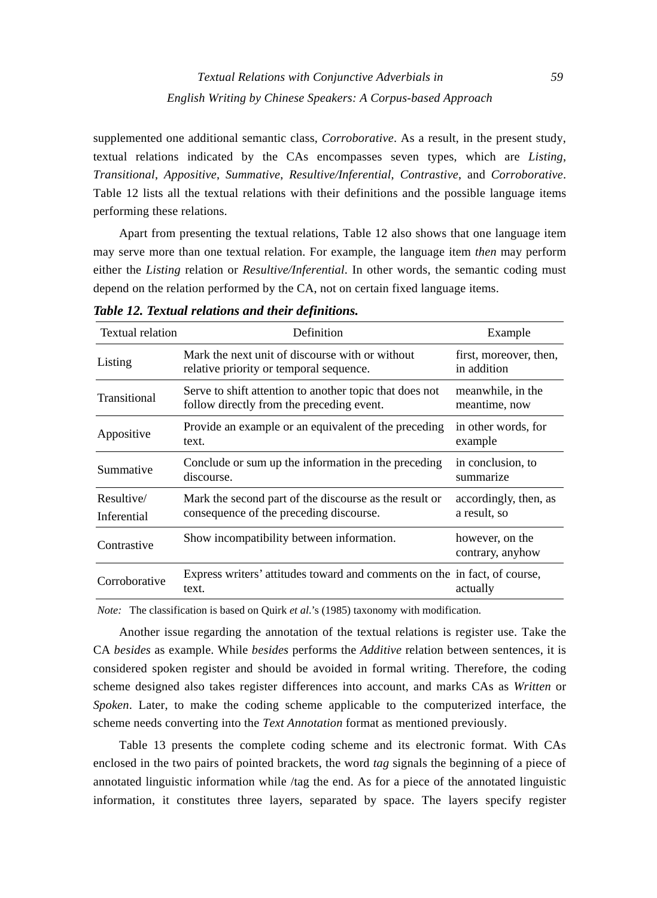supplemented one additional semantic class, *Corroborative*. As a result, in the present study, textual relations indicated by the CAs encompasses seven types, which are *Listing*, *Transitional*, *Appositive*, *Summative*, *Resultive/Inferential*, *Contrastive*, and *Corroborative*. Table 12 lists all the textual relations with their definitions and the possible language items performing these relations.

Apart from presenting the textual relations, Table 12 also shows that one language item may serve more than one textual relation. For example, the language item *then* may perform either the *Listing* relation or *Resultive/Inferential*. In other words, the semantic coding must depend on the relation performed by the CA, not on certain fixed language items.

| Textual relation          | Definition                                                                                           | Example                               |
|---------------------------|------------------------------------------------------------------------------------------------------|---------------------------------------|
| Listing                   | Mark the next unit of discourse with or without<br>relative priority or temporal sequence.           | first, moreover, then,<br>in addition |
| Transitional              | Serve to shift attention to another topic that does not<br>follow directly from the preceding event. | meanwhile, in the<br>meantime, now    |
| Appositive                | Provide an example or an equivalent of the preceding<br>text.                                        | in other words, for<br>example        |
| Summative                 | Conclude or sum up the information in the preceding<br>discourse.                                    | in conclusion, to<br>summarize        |
| Resultive/<br>Inferential | Mark the second part of the discourse as the result or<br>consequence of the preceding discourse.    | accordingly, then, as<br>a result, so |
| Contrastive               | Show incompatibility between information.                                                            | however, on the<br>contrary, anyhow   |
| Corroborative             | Express writers' attitudes toward and comments on the in fact, of course,<br>text.                   | actually                              |

*Table 12. Textual relations and their definitions.* 

*Note:* The classification is based on Quirk *et al*.'s (1985) taxonomy with modification.

Another issue regarding the annotation of the textual relations is register use. Take the CA *besides* as example. While *besides* performs the *Additive* relation between sentences, it is considered spoken register and should be avoided in formal writing. Therefore, the coding scheme designed also takes register differences into account, and marks CAs as *Written* or *Spoken*. Later, to make the coding scheme applicable to the computerized interface, the scheme needs converting into the *Text Annotation* format as mentioned previously.

Table 13 presents the complete coding scheme and its electronic format. With CAs enclosed in the two pairs of pointed brackets, the word *tag* signals the beginning of a piece of annotated linguistic information while /tag the end. As for a piece of the annotated linguistic information, it constitutes three layers, separated by space. The layers specify register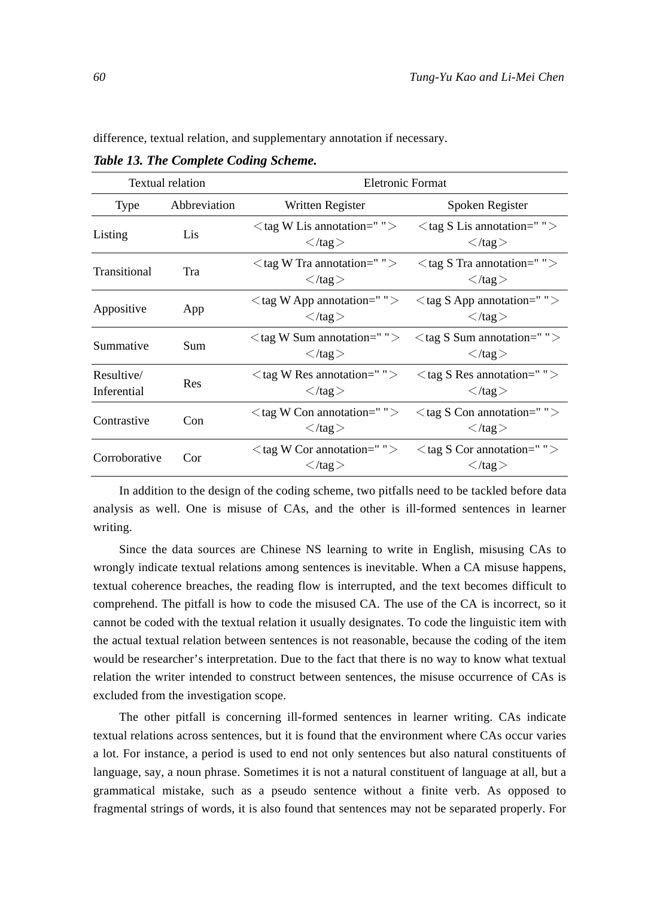difference, textual relation, and supplementary annotation if necessary.

*Table 13. The Complete Coding Scheme.* 

|                           | <b>Textual relation</b> | Eletronic Format                                                          |                                                                           |
|---------------------------|-------------------------|---------------------------------------------------------------------------|---------------------------------------------------------------------------|
| Type                      | Abbreviation            | Written Register                                                          | Spoken Register                                                           |
| Listing                   | Lis                     | $\langle$ tag W Lis annotation=" " $>$<br>$\langle \tau \rangle$ /tag $>$ | $\langle$ tag S Lis annotation=" " $>$<br>$\langle \tau \rangle$ /tag $>$ |
| Transitional              | Tra                     | $\langle$ tag W Tra annotation=" " $>$<br>$\langle \text{tan} \rangle$    | $\langle$ tag S Tra annotation=" " $>$<br>$\langle \tau \rangle$ /tag $>$ |
| Appositive                | App                     | $\langle$ tag W App annotation=" " $>$<br>$\langle$ /tag $>$              | $\langle$ tag S App annotation=" " $>$<br>$\langle \tau \rangle$ /tag $>$ |
| Summative                 | Sum                     | $\langle$ tag W Sum annotation=" " $>$<br>$\langle$ /tag $>$              | $\langle$ tag S Sum annotation=" " $>$<br>$\langle \tau \rangle$ /tag $>$ |
| Resultive/<br>Inferential | Res                     | $\langle$ tag W Res annotation=" " $>$<br>$\langle \tau \rangle$ /tag $>$ | $\langle$ tag S Res annotation=" " $>$<br>$\langle$ /tag $>$              |
| Contrastive               | Con                     | $\langle$ tag W Con annotation=" " $>$<br>$\langle \tau \rangle$ /tag $>$ | $\langle$ tag S Con annotation=" " $>$<br>$\langle \tau \rangle$ /tag $>$ |
| Corroborative             | Cor                     | $\langle$ tag W Cor annotation=" " $>$<br>$\langle \tau \rangle$ /tag $>$ | $\langle$ tag S Cor annotation=" " $>$<br>$\langle \tau \rangle$ /tag $>$ |

In addition to the design of the coding scheme, two pitfalls need to be tackled before data analysis as well. One is misuse of CAs, and the other is ill-formed sentences in learner writing.

Since the data sources are Chinese NS learning to write in English, misusing CAs to wrongly indicate textual relations among sentences is inevitable. When a CA misuse happens, textual coherence breaches, the reading flow is interrupted, and the text becomes difficult to comprehend. The pitfall is how to code the misused CA. The use of the CA is incorrect, so it cannot be coded with the textual relation it usually designates. To code the linguistic item with the actual textual relation between sentences is not reasonable, because the coding of the item would be researcher's interpretation. Due to the fact that there is no way to know what textual relation the writer intended to construct between sentences, the misuse occurrence of CAs is excluded from the investigation scope.

The other pitfall is concerning ill-formed sentences in learner writing. CAs indicate textual relations across sentences, but it is found that the environment where CAs occur varies a lot. For instance, a period is used to end not only sentences but also natural constituents of language, say, a noun phrase. Sometimes it is not a natural constituent of language at all, but a grammatical mistake, such as a pseudo sentence without a finite verb. As opposed to fragmental strings of words, it is also found that sentences may not be separated properly. For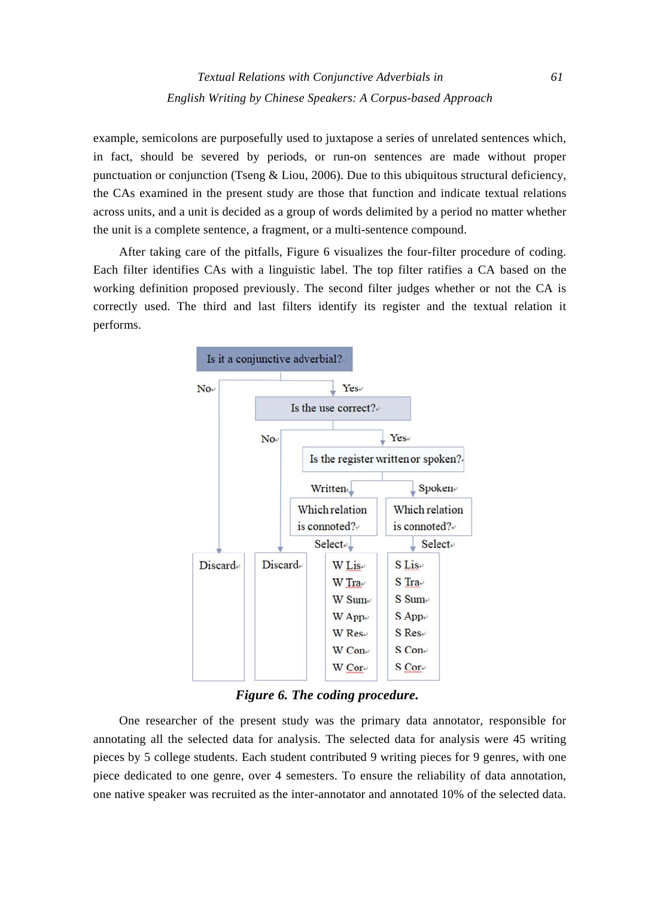example, semicolons are purposefully used to juxtapose a series of unrelated sentences which, in fact, should be severed by periods, or run-on sentences are made without proper punctuation or conjunction (Tseng  $&$  Liou, 2006). Due to this ubiquitous structural deficiency, the CAs examined in the present study are those that function and indicate textual relations across units, and a unit is decided as a group of words delimited by a period no matter whether the unit is a complete sentence, a fragment, or a multi-sentence compound.

After taking care of the pitfalls, Figure 6 visualizes the four-filter procedure of coding. Each filter identifies CAs with a linguistic label. The top filter ratifies a CA based on the working definition proposed previously. The second filter judges whether or not the CA is correctly used. The third and last filters identify its register and the textual relation it performs.



*Figure 6. The coding procedure.* 

One researcher of the present study was the primary data annotator, responsible for annotating all the selected data for analysis. The selected data for analysis were 45 writing pieces by 5 college students. Each student contributed 9 writing pieces for 9 genres, with one piece dedicated to one genre, over 4 semesters. To ensure the reliability of data annotation, one native speaker was recruited as the inter-annotator and annotated 10% of the selected data.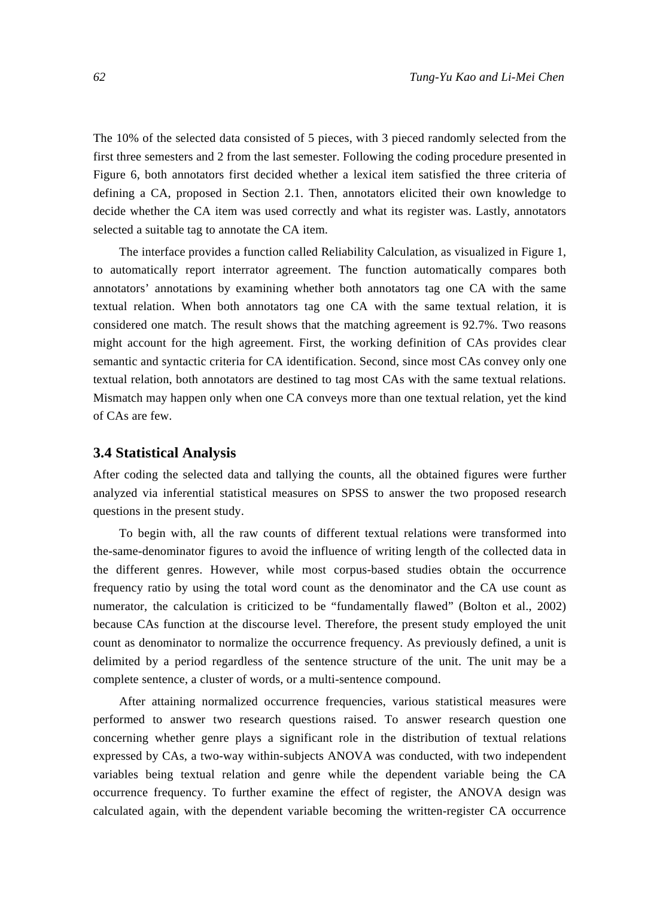The 10% of the selected data consisted of 5 pieces, with 3 pieced randomly selected from the first three semesters and 2 from the last semester. Following the coding procedure presented in Figure 6, both annotators first decided whether a lexical item satisfied the three criteria of defining a CA, proposed in Section 2.1. Then, annotators elicited their own knowledge to decide whether the CA item was used correctly and what its register was. Lastly, annotators selected a suitable tag to annotate the CA item.

The interface provides a function called Reliability Calculation, as visualized in Figure 1, to automatically report interrator agreement. The function automatically compares both annotators' annotations by examining whether both annotators tag one CA with the same textual relation. When both annotators tag one CA with the same textual relation, it is considered one match. The result shows that the matching agreement is 92.7%. Two reasons might account for the high agreement. First, the working definition of CAs provides clear semantic and syntactic criteria for CA identification. Second, since most CAs convey only one textual relation, both annotators are destined to tag most CAs with the same textual relations. Mismatch may happen only when one CA conveys more than one textual relation, yet the kind of CAs are few.

### **3.4 Statistical Analysis**

After coding the selected data and tallying the counts, all the obtained figures were further analyzed via inferential statistical measures on SPSS to answer the two proposed research questions in the present study.

To begin with, all the raw counts of different textual relations were transformed into the-same-denominator figures to avoid the influence of writing length of the collected data in the different genres. However, while most corpus-based studies obtain the occurrence frequency ratio by using the total word count as the denominator and the CA use count as numerator, the calculation is criticized to be "fundamentally flawed" (Bolton et al., 2002) because CAs function at the discourse level. Therefore, the present study employed the unit count as denominator to normalize the occurrence frequency. As previously defined, a unit is delimited by a period regardless of the sentence structure of the unit. The unit may be a complete sentence, a cluster of words, or a multi-sentence compound.

After attaining normalized occurrence frequencies, various statistical measures were performed to answer two research questions raised. To answer research question one concerning whether genre plays a significant role in the distribution of textual relations expressed by CAs, a two-way within-subjects ANOVA was conducted, with two independent variables being textual relation and genre while the dependent variable being the CA occurrence frequency. To further examine the effect of register, the ANOVA design was calculated again, with the dependent variable becoming the written-register CA occurrence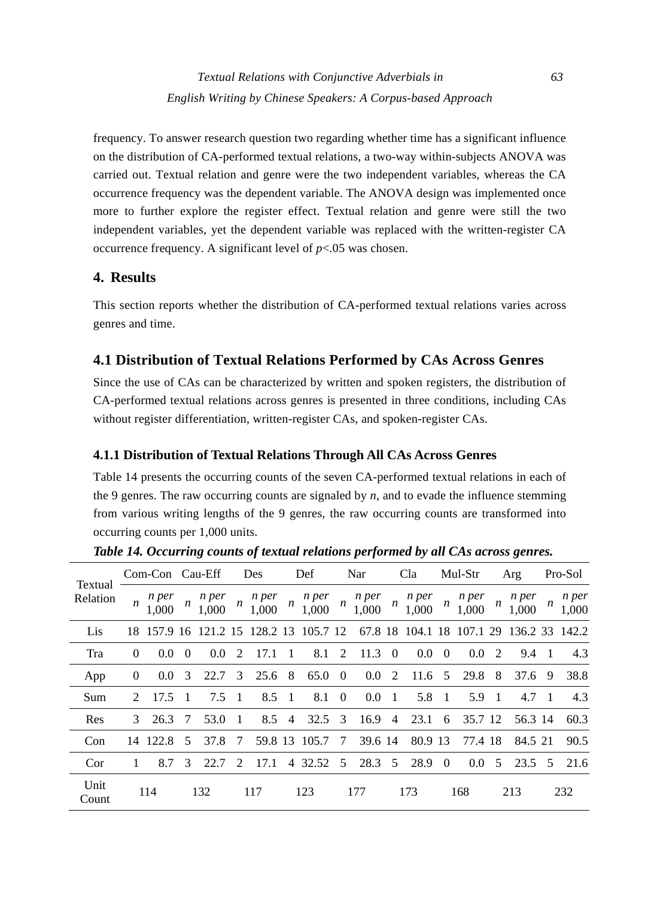*Textual Relations with Conjunctive Adverbials in 63 English Writing by Chinese Speakers: A Corpus-based Approach* 

frequency. To answer research question two regarding whether time has a significant influence on the distribution of CA-performed textual relations, a two-way within-subjects ANOVA was carried out. Textual relation and genre were the two independent variables, whereas the CA occurrence frequency was the dependent variable. The ANOVA design was implemented once more to further explore the register effect. Textual relation and genre were still the two independent variables, yet the dependent variable was replaced with the written-register CA occurrence frequency. A significant level of *p*<.05 was chosen.

# **4. Results**

This section reports whether the distribution of CA-performed textual relations varies across genres and time.

# **4.1 Distribution of Textual Relations Performed by CAs Across Genres**

Since the use of CAs can be characterized by written and spoken registers, the distribution of CA-performed textual relations across genres is presented in three conditions, including CAs without register differentiation, written-register CAs, and spoken-register CAs.

# **4.1.1 Distribution of Textual Relations Through All CAs Across Genres**

Table 14 presents the occurring counts of the seven CA-performed textual relations in each of the 9 genres. The raw occurring counts are signaled by *n*, and to evade the influence stemming from various writing lengths of the 9 genres, the raw occurring counts are transformed into occurring counts per 1,000 units.

| Textual       |                             | Com-Con Cau-Eff  |                  |                |                  | Des            |                  | Def                                    |                  | Nar            |                  | Cla              |                  | Mul-Str        |                  | Arg                     |    | Pro-Sol        |
|---------------|-----------------------------|------------------|------------------|----------------|------------------|----------------|------------------|----------------------------------------|------------------|----------------|------------------|------------------|------------------|----------------|------------------|-------------------------|----|----------------|
| Relation      | $\boldsymbol{n}$            | n per<br>1,000   | $\boldsymbol{n}$ | n per<br>1,000 | $\boldsymbol{n}$ | n per<br>1,000 | $\boldsymbol{n}$ | n per<br>1,000                         | $\boldsymbol{n}$ | n per<br>1,000 | $\boldsymbol{n}$ | n per<br>1,000   | $\boldsymbol{n}$ | n per<br>1,000 | $\boldsymbol{n}$ | n per<br>1,000          | n  | n per<br>1,000 |
| Lis           |                             |                  |                  |                |                  |                |                  | 18 157.9 16 121.2 15 128.2 13 105.7 12 |                  |                |                  | 67.8 18 104.1 18 |                  |                |                  | 107.1 29 136.2 33 142.2 |    |                |
| Tra           | $\Omega$                    | 0.0              | $\Omega$         | 0.0            | 2                | 17.1           |                  | 8.1                                    | 2                | 11.3           | $\left($         | 0.0              | $\theta$         | 0.0            | 2                | 9.4                     | -1 | 4.3            |
| App           | $\overline{0}$              | 0.0 <sub>1</sub> | 3                | 22.7           | 3                | 25.6           | 8                | 65.0                                   | $\overline{0}$   | 0.0            | 2                | $11.6 \quad 5$   |                  | 29.8           | 8                | 37.6                    | 9  | 38.8           |
| Sum           | $\mathcal{D}_{\mathcal{L}}$ | 17.5             | - 1              | 7.5            | $\overline{1}$   | 8.5            | -1               | 8.1                                    | $\theta$         | 0.0            | -1               | 5.8              | $\overline{1}$   | 5.9            | $\overline{1}$   | 4.7                     | -1 | 4.3            |
| Res           | 3                           | 26.3             | -7               | 53.0           | -1               | 8.5            | $\overline{4}$   | 32.5                                   | 3                | 16.9           | $\overline{4}$   | 23.1             | 6                | 35.7 12        |                  | 56.3 14                 |    | 60.3           |
| Con           |                             | 14 122.8         | 5 <sup>5</sup>   | 37.8           | 7                |                |                  | 59.8 13 105.7                          | 7                | 39.6 14        |                  | 80.9 13          |                  | 77.4 18        |                  | 84.5 21                 |    | 90.5           |
| Cor           |                             | 8.7              | 3                | 22.7           | $\mathcal{L}$    | 17.1           | $\overline{4}$   | 32.52                                  | 5                | 28.3           | 5 <sup>5</sup>   | 28.9             | $\overline{0}$   | 0.0            | 5                | 23.5                    | -5 | 21.6           |
| Unit<br>Count |                             | 114              |                  | 132            |                  | 117            |                  | 123                                    |                  | 177            |                  | 173              |                  | 168            |                  | 213                     |    | 232            |

*Table 14. Occurring counts of textual relations performed by all CAs across genres.*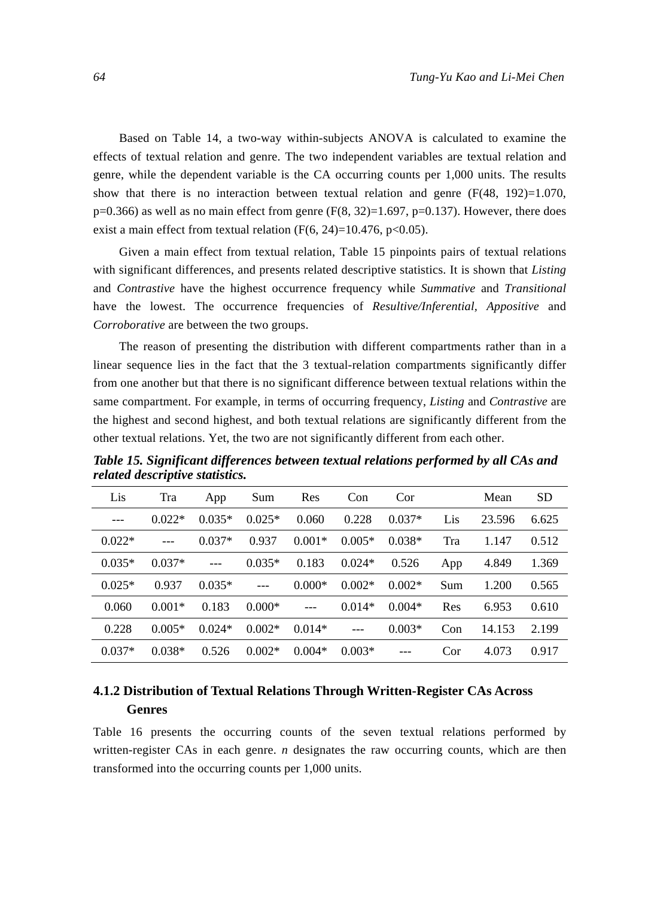Based on Table 14, a two-way within-subjects ANOVA is calculated to examine the effects of textual relation and genre. The two independent variables are textual relation and genre, while the dependent variable is the CA occurring counts per 1,000 units. The results show that there is no interaction between textual relation and genre  $(F(48, 192)=1.070$ ,  $p=0.366$ ) as well as no main effect from genre (F(8, 32)=1.697, p=0.137). However, there does exist a main effect from textual relation (F(6, 24)=10.476, p<0.05).

Given a main effect from textual relation, Table 15 pinpoints pairs of textual relations with significant differences, and presents related descriptive statistics. It is shown that *Listing*  and *Contrastive* have the highest occurrence frequency while *Summative* and *Transitional*  have the lowest. The occurrence frequencies of *Resultive/Inferential, Appositive* and *Corroborative* are between the two groups.

The reason of presenting the distribution with different compartments rather than in a linear sequence lies in the fact that the 3 textual-relation compartments significantly differ from one another but that there is no significant difference between textual relations within the same compartment. For example, in terms of occurring frequency, *Listing* and *Contrastive* are the highest and second highest, and both textual relations are significantly different from the other textual relations. Yet, the two are not significantly different from each other.

| Lis      | Tra      | App      | Sum      | Res      | Con      | Cor      |     | Mean   | <b>SD</b> |
|----------|----------|----------|----------|----------|----------|----------|-----|--------|-----------|
| $- - -$  | $0.022*$ | $0.035*$ | $0.025*$ | 0.060    | 0.228    | $0.037*$ | Lis | 23.596 | 6.625     |
| $0.022*$ | $---$    | $0.037*$ | 0.937    | $0.001*$ | $0.005*$ | $0.038*$ | Tra | 1.147  | 0.512     |
| $0.035*$ | $0.037*$ | $---$    | $0.035*$ | 0.183    | $0.024*$ | 0.526    | App | 4.849  | 1.369     |
| $0.025*$ | 0.937    | $0.035*$ | $---$    | $0.000*$ | $0.002*$ | $0.002*$ | Sum | 1.200  | 0.565     |
| 0.060    | $0.001*$ | 0.183    | $0.000*$ | $---$    | $0.014*$ | $0.004*$ | Res | 6.953  | 0.610     |
| 0.228    | $0.005*$ | $0.024*$ | $0.002*$ | $0.014*$ | $---$    | $0.003*$ | Con | 14.153 | 2.199     |
| $0.037*$ | $0.038*$ | 0.526    | $0.002*$ | $0.004*$ | $0.003*$ |          | Cor | 4.073  | 0.917     |

*Table 15. Significant differences between textual relations performed by all CAs and related descriptive statistics.* 

# **4.1.2 Distribution of Textual Relations Through Written-Register CAs Across Genres**

Table 16 presents the occurring counts of the seven textual relations performed by written-register CAs in each genre. *n* designates the raw occurring counts, which are then transformed into the occurring counts per 1,000 units.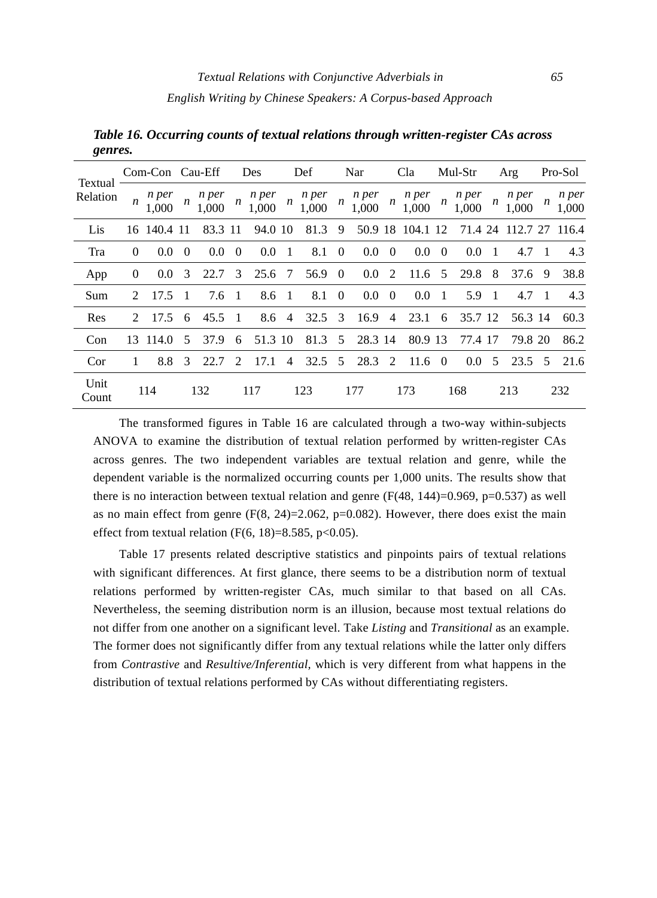|                     |                             | Com-Con Cau-Eff |                  |                |                  | Des            |                  | Def            |                  | Nar              |                  | Cla              |                  | Mul-Str          |     | Arg            |     | Pro-Sol        |
|---------------------|-----------------------------|-----------------|------------------|----------------|------------------|----------------|------------------|----------------|------------------|------------------|------------------|------------------|------------------|------------------|-----|----------------|-----|----------------|
| Textual<br>Relation | $\boldsymbol{n}$            | n per<br>1,000  | $\boldsymbol{n}$ | n per<br>1,000 | $\boldsymbol{n}$ | n per<br>1,000 | $\boldsymbol{n}$ | n per<br>1,000 | $\boldsymbol{n}$ | n per<br>1,000   | $\boldsymbol{n}$ | n per<br>1,000   | $\boldsymbol{n}$ | n per<br>1,000   | n   | n per<br>1,000 | n   | n per<br>1,000 |
| Lis                 |                             | 16 140.4 11     |                  | 83.3 11        |                  | 94.0 10        |                  | 81.3           | 9                |                  |                  | 50.9 18 104.1 12 |                  | 71.4 24          |     | 112.7 27 116.4 |     |                |
| Tra                 | $\Omega$                    | 0.0             | $\theta$         | 0.0            | $\theta$         | 0.0            | $\overline{1}$   | 8.1            | $\overline{0}$   | 0.0              | $\overline{0}$   | 0.0              | $\Omega$         | 0.0              | -1  | 4.7            | -1  | 4.3            |
| App                 | $\theta$                    | 0.0             | 3                | 22.7           | 3                | 25.6           | -7               | 56.9           | $\overline{0}$   | 0.0 <sub>1</sub> | 2                | 11.6             | 5                | 29.8             | 8   | 37.6           | 9   | 38.8           |
| Sum                 | $\mathcal{D}_{\mathcal{L}}$ | 17.5            | - 1              | 7.6 1          |                  | 8.6 1          |                  | 8.1            | $\overline{0}$   | $0.0\,$          | $\overline{0}$   | $0.0 \quad 1$    |                  | 5.9              | - 1 | 4.7            | - 1 | 4.3            |
| Res                 | $\mathcal{D}_{\mathcal{L}}$ | 17.5            | 6                | 45.5           | -1               | 8.6            | $\overline{4}$   | 32.5           | 3                | 16.9             | $\overline{4}$   | 23.1             | 6                | 35.7 12          |     | 56.3 14        |     | 60.3           |
| Con                 | 13                          | 114.0           | 5                | 37.9           | 6                | 51.3 10        |                  | 81.3           | 5                | 28.3 14          |                  | 80.9 13          |                  | 77.4 17          |     | 79.8 20        |     | 86.2           |
| Cor                 |                             | 8.8             | 3                | 22.7           | $\mathcal{L}$    | 17.1           | 4                | $32.5 \quad 5$ |                  | 28.3             | 2                | $11.6 \quad 0$   |                  | 0.0 <sub>1</sub> | 5   | 23.5           | -5  | 21.6           |
| Unit<br>Count       |                             | 114             |                  | 132            |                  | 117            |                  | 123            |                  | 177              |                  | 173              |                  | 168              |     | 213            |     | 232            |

*Table 16. Occurring counts of textual relations through written-register CAs across genres.* 

The transformed figures in Table 16 are calculated through a two-way within-subjects ANOVA to examine the distribution of textual relation performed by written-register CAs across genres. The two independent variables are textual relation and genre, while the dependent variable is the normalized occurring counts per 1,000 units. The results show that there is no interaction between textual relation and genre  $(F(48, 144)=0.969, p=0.537)$  as well as no main effect from genre  $(F(8, 24)=2.062, p=0.082)$ . However, there does exist the main effect from textual relation  $(F(6, 18)=8.585, p<0.05)$ .

Table 17 presents related descriptive statistics and pinpoints pairs of textual relations with significant differences. At first glance, there seems to be a distribution norm of textual relations performed by written-register CAs, much similar to that based on all CAs. Nevertheless, the seeming distribution norm is an illusion, because most textual relations do not differ from one another on a significant level. Take *Listing* and *Transitional* as an example. The former does not significantly differ from any textual relations while the latter only differs from *Contrastive* and *Resultive/Inferential,* which is very different from what happens in the distribution of textual relations performed by CAs without differentiating registers.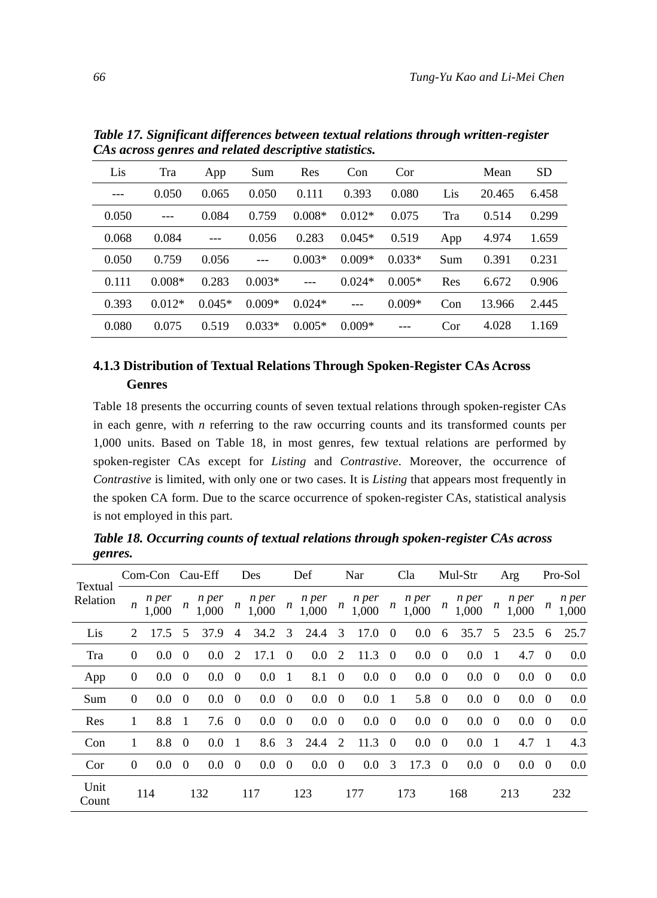| Lis     | Tra      | App      | Sum      | Res      | Con      | Cor      |     | Mean   | <b>SD</b> |
|---------|----------|----------|----------|----------|----------|----------|-----|--------|-----------|
| $- - -$ | 0.050    | 0.065    | 0.050    | 0.111    | 0.393    | 0.080    | Lis | 20.465 | 6.458     |
| 0.050   | $---$    | 0.084    | 0.759    | $0.008*$ | $0.012*$ | 0.075    | Tra | 0.514  | 0.299     |
| 0.068   | 0.084    | $---$    | 0.056    | 0.283    | $0.045*$ | 0.519    | App | 4.974  | 1.659     |
| 0.050   | 0.759    | 0.056    |          | $0.003*$ | $0.009*$ | $0.033*$ | Sum | 0.391  | 0.231     |
| 0.111   | $0.008*$ | 0.283    | $0.003*$ | $---$    | $0.024*$ | $0.005*$ | Res | 6.672  | 0.906     |
| 0.393   | $0.012*$ | $0.045*$ | $0.009*$ | $0.024*$ |          | $0.009*$ | Con | 13.966 | 2.445     |
| 0.080   | 0.075    | 0.519    | $0.033*$ | $0.005*$ | $0.009*$ |          | Cor | 4.028  | 1.169     |

*Table 17. Significant differences between textual relations through written-register CAs across genres and related descriptive statistics.* 

# **4.1.3 Distribution of Textual Relations Through Spoken-Register CAs Across Genres**

Table 18 presents the occurring counts of seven textual relations through spoken-register CAs in each genre, with *n* referring to the raw occurring counts and its transformed counts per 1,000 units. Based on Table 18, in most genres, few textual relations are performed by spoken-register CAs except for *Listing* and *Contrastive*. Moreover, the occurrence of *Contrastive* is limited, with only one or two cases. It is *Listing* that appears most frequently in the spoken CA form. Due to the scarce occurrence of spoken-register CAs, statistical analysis is not employed in this part.

*Table 18. Occurring counts of textual relations through spoken-register CAs across genres.* 

|                     |               | Com-Con Cau-Eff      |          |                  |                | Des            |                  | Def            |                  | Nar            |                  | Cla              |                  | Mul-Str        |          | Arg              |                | Pro-Sol        |
|---------------------|---------------|----------------------|----------|------------------|----------------|----------------|------------------|----------------|------------------|----------------|------------------|------------------|------------------|----------------|----------|------------------|----------------|----------------|
| Textual<br>Relation |               | n per<br>$n_{1,000}$ | n        | n per<br>1,000   | n              | n per<br>1,000 | $\boldsymbol{n}$ | n per<br>1,000 | $\boldsymbol{n}$ | n per<br>1,000 | $\boldsymbol{n}$ | n per<br>1,000   | $\boldsymbol{n}$ | n per<br>1,000 | n        | n per<br>1,000   | n              | n per<br>1,000 |
| Lis                 | $\mathcal{L}$ | 17.5                 | 5        | 37.9             | 4              | 34.2           | 3                | 24.4           | 3                | 17.0           | $\Omega$         | 0.0              | 6                | 35.7           | 5        | 23.5             | 6              | 25.7           |
| Tra                 | $\Omega$      | 0.0                  | $\theta$ | 0.0 <sub>1</sub> | 2              | 17.1           | $\theta$         | 0.0            | 2                | 11.3           | $\Omega$         | 0.0              | $\overline{0}$   | 0.0            | -1       | 4.7              | $\theta$       | 0.0            |
| App                 | $\theta$      | 0.0                  | $\theta$ | 0.0              | $\theta$       | 0.0            | -1               | 8.1            | $\Omega$         | 0.0            | $\overline{0}$   | 0.0 <sub>1</sub> | $\overline{0}$   | 0.0            | $\theta$ | 0.0              | $\theta$       | 0.0            |
| Sum                 | $\theta$      | 0.0                  | $\theta$ | 0.0              | $\theta$       | 0.0            | $\overline{0}$   | 0.0            | $\overline{0}$   | 0.0            | -1               | 5.8              | $\overline{0}$   | 0.0            | $\theta$ | 0.0              | $\theta$       | 0.0            |
| Res                 | 1             | 8.8                  | - 1      | 7.6              | $\overline{0}$ | 0.0            | $\theta$         | 0.0            | $\theta$         | 0.0            | $\theta$         | $0.0\,$          | $\overline{0}$   | 0.0            | $\theta$ | 0.0 <sub>1</sub> | $\overline{0}$ | 0.0            |
| Con                 | 1             | 8.8                  | $\Omega$ | 0.0              | -1             | 8.6            | 3                | 24.4           | $\mathcal{L}$    | 11.3           | $\theta$         | 0.0              | $\theta$         | 0.0            | 1        | 4.7              | -1             | 4.3            |
| Cor                 | $\theta$      | 0.0                  | $\theta$ | 0.0              | $\theta$       | 0.0            | $\overline{0}$   | 0.0            | $\theta$         | 0.0            | 3                | 17.3             | $\theta$         | 0.0            | $\theta$ | 0.0              | $\theta$       | 0.0            |
| Unit<br>Count       |               | 114                  |          | 132              |                | 117            |                  | 123            |                  | 177            |                  | 173              |                  | 168            |          | 213              |                | 232            |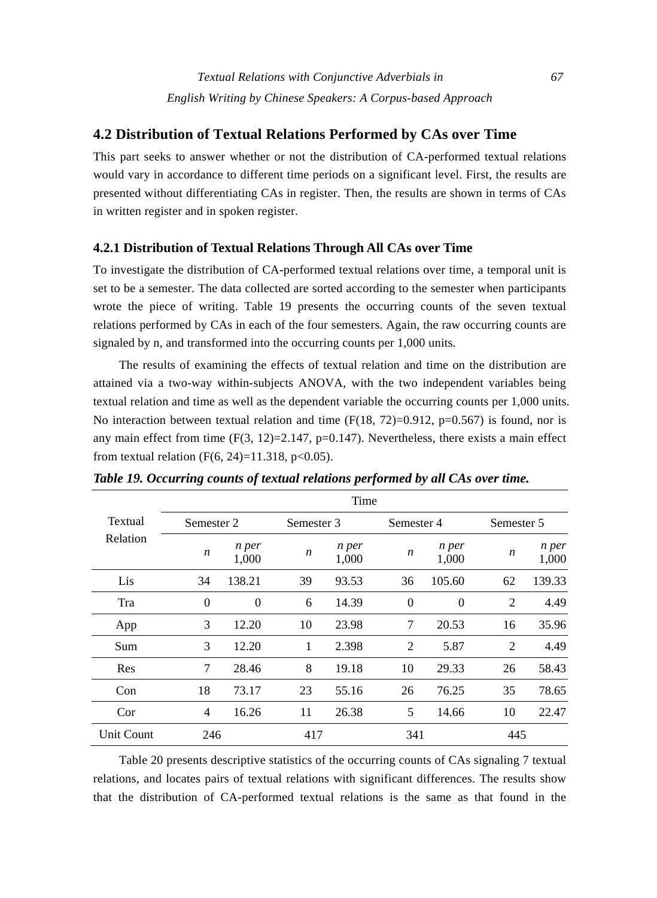# **4.2 Distribution of Textual Relations Performed by CAs over Time**

This part seeks to answer whether or not the distribution of CA-performed textual relations would vary in accordance to different time periods on a significant level. First, the results are presented without differentiating CAs in register. Then, the results are shown in terms of CAs in written register and in spoken register.

#### **4.2.1 Distribution of Textual Relations Through All CAs over Time**

To investigate the distribution of CA-performed textual relations over time, a temporal unit is set to be a semester. The data collected are sorted according to the semester when participants wrote the piece of writing. Table 19 presents the occurring counts of the seven textual relations performed by CAs in each of the four semesters. Again, the raw occurring counts are signaled by n, and transformed into the occurring counts per 1,000 units.

The results of examining the effects of textual relation and time on the distribution are attained via a two-way within-subjects ANOVA, with the two independent variables being textual relation and time as well as the dependent variable the occurring counts per 1,000 units. No interaction between textual relation and time  $(F(18, 72)=0.912, p=0.567)$  is found, nor is any main effect from time  $(F(3, 12)=2.147, p=0.147)$ . Nevertheless, there exists a main effect from textual relation (F(6, 24)=11.318, p<0.05).

|                   |                |                |            | Time           |                |                |            |                |
|-------------------|----------------|----------------|------------|----------------|----------------|----------------|------------|----------------|
| Textual           | Semester 2     |                | Semester 3 |                | Semester 4     |                | Semester 5 |                |
| Relation          | n              | n per<br>1,000 | n          | n per<br>1,000 | n              | n per<br>1,000 | n          | n per<br>1,000 |
| Lis               | 34             | 138.21         | 39         | 93.53          | 36             | 105.60         | 62         | 139.33         |
| Tra               | $\overline{0}$ | $\theta$       | 6          | 14.39          | $\overline{0}$ | $\Omega$       | 2          | 4.49           |
| App               | 3              | 12.20          | 10         | 23.98          | 7              | 20.53          | 16         | 35.96          |
| Sum               | 3              | 12.20          | 1          | 2.398          | 2              | 5.87           | 2          | 4.49           |
| Res               | 7              | 28.46          | 8          | 19.18          | 10             | 29.33          | 26         | 58.43          |
| Con               | 18             | 73.17          | 23         | 55.16          | 26             | 76.25          | 35         | 78.65          |
| Cor               | 4              | 16.26          | 11         | 26.38          | 5              | 14.66          | 10         | 22.47          |
| <b>Unit Count</b> | 246            |                | 417        |                | 341            |                | 445        |                |

*Table 19. Occurring counts of textual relations performed by all CAs over time.* 

Table 20 presents descriptive statistics of the occurring counts of CAs signaling 7 textual relations, and locates pairs of textual relations with significant differences. The results show that the distribution of CA-performed textual relations is the same as that found in the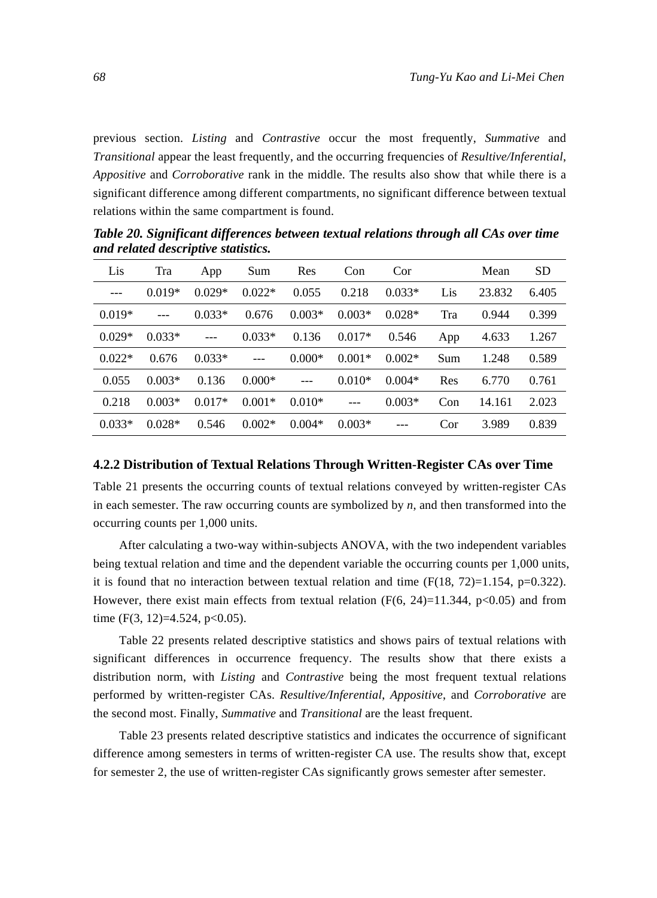previous section. *Listing* and *Contrastive* occur the most frequently, *Summative* and *Transitional* appear the least frequently, and the occurring frequencies of *Resultive/Inferential*, *Appositive* and *Corroborative* rank in the middle. The results also show that while there is a significant difference among different compartments, no significant difference between textual relations within the same compartment is found.

| Lis      | Tra           | App      | Sum            | Res      | Con      | Cor      |     | Mean   | <b>SD</b> |
|----------|---------------|----------|----------------|----------|----------|----------|-----|--------|-----------|
| $---$    | $0.019*$      | $0.029*$ | $0.022*$       | 0.055    | 0.218    | $0.033*$ | Lis | 23.832 | 6.405     |
| $0.019*$ | $\frac{1}{2}$ | $0.033*$ | 0.676          | $0.003*$ | $0.003*$ | $0.028*$ | Tra | 0.944  | 0.399     |
| $0.029*$ | $0.033*$      | $---$    | $0.033*$       | 0.136    | $0.017*$ | 0.546    | App | 4.633  | 1.267     |
| $0.022*$ | 0.676         | $0.033*$ | $\overline{a}$ | $0.000*$ | $0.001*$ | $0.002*$ | Sum | 1.248  | 0.589     |
| 0.055    | $0.003*$      | 0.136    | $0.000*$       | $---$    | $0.010*$ | $0.004*$ | Res | 6.770  | 0.761     |
| 0.218    | $0.003*$      | $0.017*$ | $0.001*$       | $0.010*$ | $---$    | $0.003*$ | Con | 14.161 | 2.023     |
| $0.033*$ | $0.028*$      | 0.546    | $0.002*$       | $0.004*$ | $0.003*$ |          | Cor | 3.989  | 0.839     |

*Table 20. Significant differences between textual relations through all CAs over time and related descriptive statistics.* 

## **4.2.2 Distribution of Textual Relations Through Written-Register CAs over Time**

Table 21 presents the occurring counts of textual relations conveyed by written-register CAs in each semester. The raw occurring counts are symbolized by *n*, and then transformed into the occurring counts per 1,000 units.

After calculating a two-way within-subjects ANOVA, with the two independent variables being textual relation and time and the dependent variable the occurring counts per 1,000 units, it is found that no interaction between textual relation and time  $(F(18, 72)=1.154, p=0.322)$ . However, there exist main effects from textual relation (F(6, 24)=11.344, p<0.05) and from time (F(3, 12)=4.524, p<0.05).

Table 22 presents related descriptive statistics and shows pairs of textual relations with significant differences in occurrence frequency. The results show that there exists a distribution norm, with *Listing* and *Contrastive* being the most frequent textual relations performed by written-register CAs. *Resultive/Inferential*, *Appositive*, and *Corroborative* are the second most. Finally, *Summative* and *Transitional* are the least frequent.

Table 23 presents related descriptive statistics and indicates the occurrence of significant difference among semesters in terms of written-register CA use. The results show that, except for semester 2, the use of written-register CAs significantly grows semester after semester.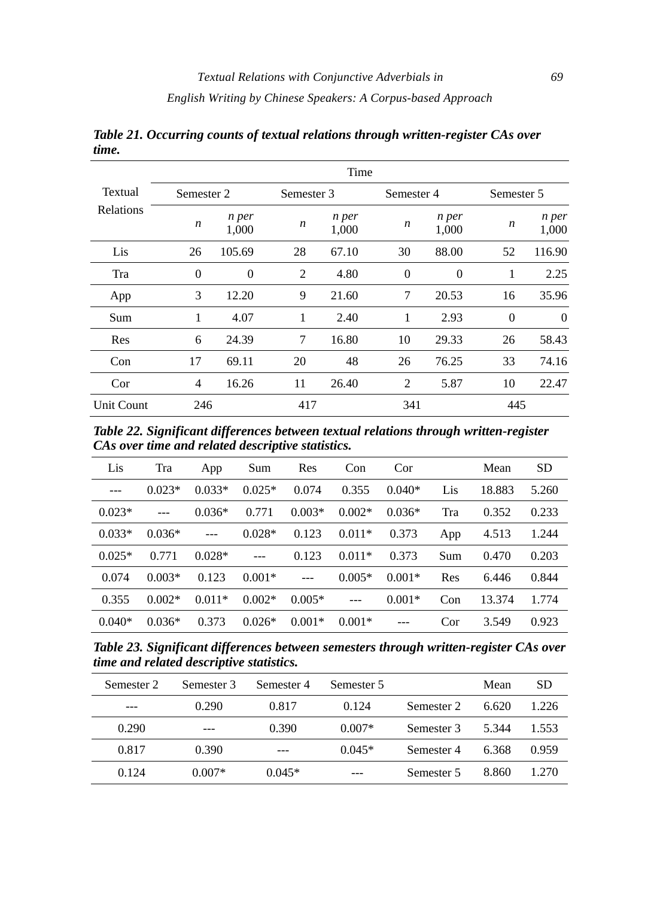*English Writing by Chinese Speakers: A Corpus-based Approach* 

|                   |                |                |            | Time           |                  |                |            |                |
|-------------------|----------------|----------------|------------|----------------|------------------|----------------|------------|----------------|
| Textual           | Semester 2     |                | Semester 3 |                | Semester 4       |                | Semester 5 |                |
| <b>Relations</b>  | n              | n per<br>1,000 | n          | n per<br>1,000 | $\boldsymbol{n}$ | n per<br>1,000 | n          | n per<br>1,000 |
| Lis               | 26             | 105.69         | 28         | 67.10          | 30               | 88.00          | 52         | 116.90         |
| Tra               | $\theta$       | 0              | 2          | 4.80           | $\Omega$         | $\overline{0}$ | 1          | 2.25           |
| App               | 3              | 12.20          | 9          | 21.60          | 7                | 20.53          | 16         | 35.96          |
| Sum               | 1              | 4.07           | 1          | 2.40           | 1                | 2.93           | $\Omega$   | $\Omega$       |
| Res               | 6              | 24.39          | 7          | 16.80          | 10               | 29.33          | 26         | 58.43          |
| Con               | 17             | 69.11          | 20         | 48             | 26               | 76.25          | 33         | 74.16          |
| Cor               | $\overline{4}$ | 16.26          | 11         | 26.40          | 2                | 5.87           | 10         | 22.47          |
| <b>Unit Count</b> | 246            |                | 417        |                | 341              |                | 445        |                |

*Table 21. Occurring counts of textual relations through written-register CAs over time.* 

*Table 22. Significant differences between textual relations through written-register CAs over time and related descriptive statistics.* 

| Lis           | Tra      | App            | Sum      | Res            | Con      | Cor      |     | Mean   | <b>SD</b> |
|---------------|----------|----------------|----------|----------------|----------|----------|-----|--------|-----------|
| $\frac{1}{2}$ | $0.023*$ | $0.033*$       | $0.025*$ | 0.074          | 0.355    | $0.040*$ | Lis | 18.883 | 5.260     |
| $0.023*$      | $---$    | $0.036*$       | 0.771    | $0.003*$       | $0.002*$ | $0.036*$ | Tra | 0.352  | 0.233     |
| $0.033*$      | $0.036*$ | $\overline{a}$ | $0.028*$ | 0.123          | $0.011*$ | 0.373    | App | 4.513  | 1.244     |
| $0.025*$      | 0.771    | $0.028*$       | $---$    | 0.123          | $0.011*$ | 0.373    | Sum | 0.470  | 0.203     |
| 0.074         | $0.003*$ | 0.123          | $0.001*$ | $\overline{a}$ | $0.005*$ | $0.001*$ | Res | 6.446  | 0.844     |
| 0.355         | $0.002*$ | $0.011*$       | $0.002*$ | $0.005*$       | $---$    | $0.001*$ | Con | 13.374 | 1.774     |
| $0.040*$      | $0.036*$ | 0.373          | $0.026*$ | $0.001*$       | $0.001*$ |          | Cor | 3.549  | 0.923     |

*Table 23. Significant differences between semesters through written-register CAs over time and related descriptive statistics.* 

| Semester 2 | Semester 3 | Semester 4 | Semester 5 |            | Mean  | <b>SD</b> |
|------------|------------|------------|------------|------------|-------|-----------|
|            | 0.290      | 0.817      | 0.124      | Semester 2 | 6.620 | 1.226     |
| 0.290      |            | 0.390      | $0.007*$   | Semester 3 | 5.344 | 1.553     |
| 0.817      | 0.390      | ---        | $0.045*$   | Semester 4 | 6.368 | 0.959     |
| 0.124      | $0.007*$   | $0.045*$   |            | Semester 5 | 8.860 | 1.270     |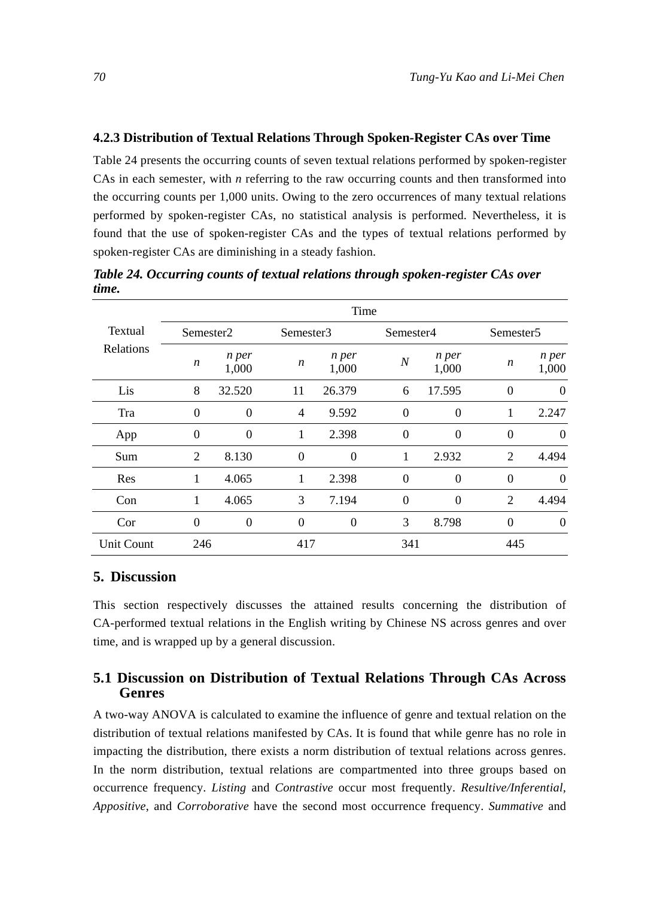#### **4.2.3 Distribution of Textual Relations Through Spoken-Register CAs over Time**

Table 24 presents the occurring counts of seven textual relations performed by spoken-register CAs in each semester, with *n* referring to the raw occurring counts and then transformed into the occurring counts per 1,000 units. Owing to the zero occurrences of many textual relations performed by spoken-register CAs, no statistical analysis is performed. Nevertheless, it is found that the use of spoken-register CAs and the types of textual relations performed by spoken-register CAs are diminishing in a steady fashion.

|                             | Time                  |                |           |                |           |                |                       |                |  |  |  |
|-----------------------------|-----------------------|----------------|-----------|----------------|-----------|----------------|-----------------------|----------------|--|--|--|
| Textual<br><b>Relations</b> | Semester <sub>2</sub> |                | Semester3 |                | Semester4 |                | Semester <sub>5</sub> |                |  |  |  |
|                             | $\boldsymbol{n}$      | n per<br>1,000 | n         | n per<br>1,000 | $\cal N$  | n per<br>1,000 | n                     | n per<br>1,000 |  |  |  |
| Lis                         | 8                     | 32.520         | 11        | 26.379         | 6         | 17.595         | $\overline{0}$        | $\Omega$       |  |  |  |
| Tra                         | $\theta$              | $\overline{0}$ | 4         | 9.592          | $\theta$  | $\theta$       |                       | 2.247          |  |  |  |
| App                         | $\overline{0}$        | $\theta$       |           | 2.398          | $\theta$  | $\theta$       | $\theta$              | $\Omega$       |  |  |  |
| Sum                         | 2                     | 8.130          | $\theta$  | $\theta$       | 1         | 2.932          | $\overline{2}$        | 4.494          |  |  |  |
| Res                         | 1                     | 4.065          | 1         | 2.398          | $\theta$  | $\theta$       | $\Omega$              | $\Omega$       |  |  |  |
| Con                         | 1                     | 4.065          | 3         | 7.194          | $\theta$  | $\theta$       | $\overline{2}$        | 4.494          |  |  |  |
| Cor                         | $\overline{0}$        | $\theta$       | $\Omega$  | $\theta$       | 3         | 8.798          | $\Omega$              | $\overline{0}$ |  |  |  |
| <b>Unit Count</b>           | 246                   |                |           | 417            |           | 341            |                       | 445            |  |  |  |

*Table 24. Occurring counts of textual relations through spoken-register CAs over time.* 

# **5. Discussion**

This section respectively discusses the attained results concerning the distribution of CA-performed textual relations in the English writing by Chinese NS across genres and over time, and is wrapped up by a general discussion.

# **5.1 Discussion on Distribution of Textual Relations Through CAs Across Genres**

A two-way ANOVA is calculated to examine the influence of genre and textual relation on the distribution of textual relations manifested by CAs. It is found that while genre has no role in impacting the distribution, there exists a norm distribution of textual relations across genres. In the norm distribution, textual relations are compartmented into three groups based on occurrence frequency. *Listing* and *Contrastive* occur most frequently. *Resultive/Inferential, Appositive*, and *Corroborative* have the second most occurrence frequency. *Summative* and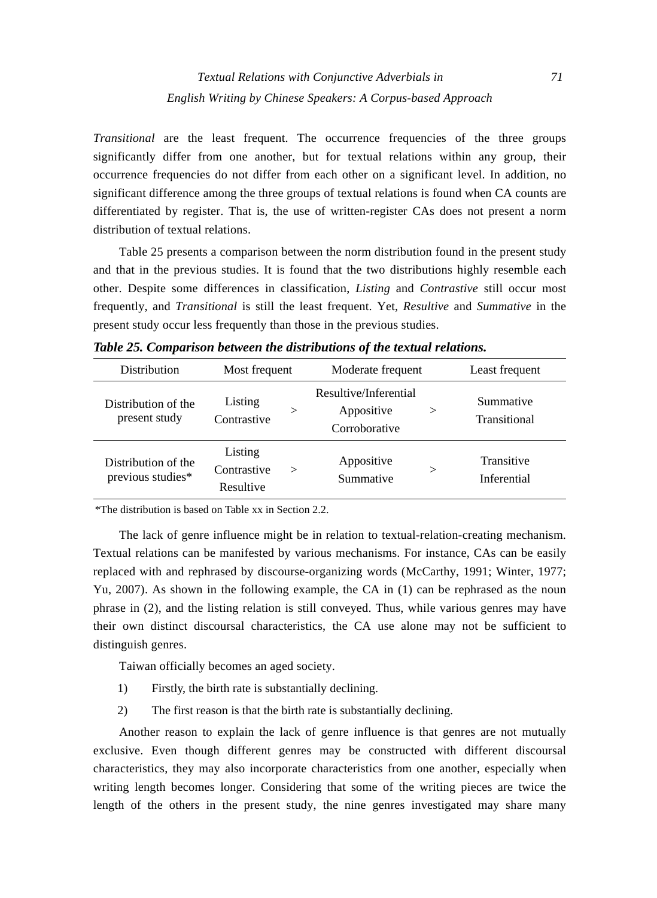*Transitional* are the least frequent. The occurrence frequencies of the three groups significantly differ from one another, but for textual relations within any group, their occurrence frequencies do not differ from each other on a significant level. In addition, no significant difference among the three groups of textual relations is found when CA counts are differentiated by register. That is, the use of written-register CAs does not present a norm distribution of textual relations.

Table 25 presents a comparison between the norm distribution found in the present study and that in the previous studies. It is found that the two distributions highly resemble each other. Despite some differences in classification, *Listing* and *Contrastive* still occur most frequently, and *Transitional* is still the least frequent. Yet, *Resultive* and *Summative* in the present study occur less frequently than those in the previous studies.

| <b>Distribution</b>                      | Most frequent                       |          | Moderate frequent                                    | Least frequent |                           |
|------------------------------------------|-------------------------------------|----------|------------------------------------------------------|----------------|---------------------------|
| Distribution of the<br>present study     | Listing<br>Contrastive              | $\rm{>}$ | Resultive/Inferential<br>Appositive<br>Corroborative | $\rm{>}$       | Summative<br>Transitional |
| Distribution of the<br>previous studies* | Listing<br>Contrastive<br>Resultive | >        | Appositive<br>Summative                              | $\rm{>}$       | Transitive<br>Inferential |

*Table 25. Comparison between the distributions of the textual relations.* 

\*The distribution is based on Table xx in Section 2.2.

The lack of genre influence might be in relation to textual-relation-creating mechanism. Textual relations can be manifested by various mechanisms. For instance, CAs can be easily replaced with and rephrased by discourse-organizing words (McCarthy, 1991; Winter, 1977; Yu, 2007). As shown in the following example, the CA in (1) can be rephrased as the noun phrase in (2), and the listing relation is still conveyed. Thus, while various genres may have their own distinct discoursal characteristics, the CA use alone may not be sufficient to distinguish genres.

Taiwan officially becomes an aged society.

- 1) Firstly, the birth rate is substantially declining.
- 2) The first reason is that the birth rate is substantially declining.

Another reason to explain the lack of genre influence is that genres are not mutually exclusive. Even though different genres may be constructed with different discoursal characteristics, they may also incorporate characteristics from one another, especially when writing length becomes longer. Considering that some of the writing pieces are twice the length of the others in the present study, the nine genres investigated may share many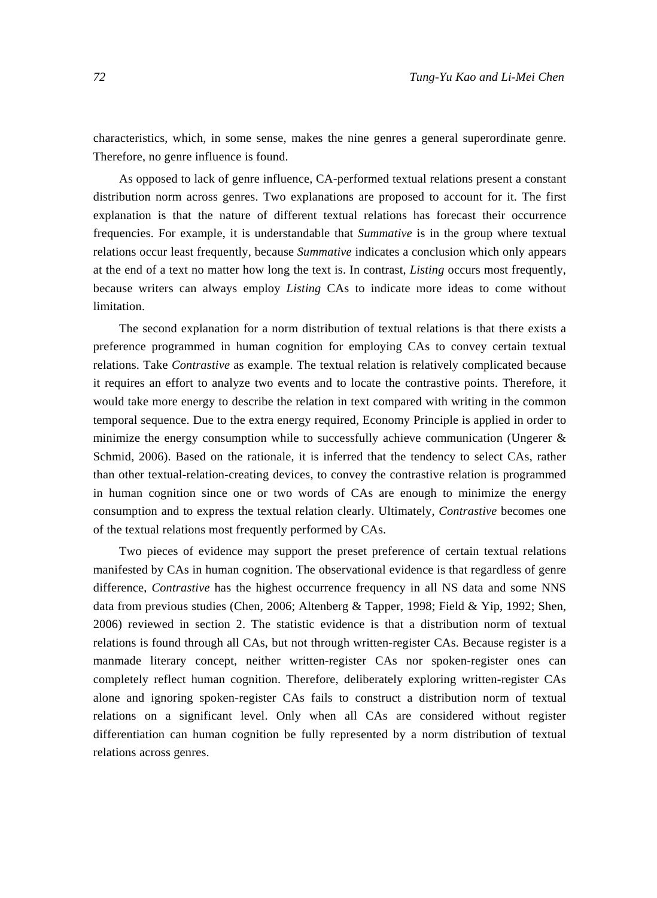characteristics, which, in some sense, makes the nine genres a general superordinate genre. Therefore, no genre influence is found.

As opposed to lack of genre influence, CA-performed textual relations present a constant distribution norm across genres. Two explanations are proposed to account for it. The first explanation is that the nature of different textual relations has forecast their occurrence frequencies. For example, it is understandable that *Summative* is in the group where textual relations occur least frequently, because *Summative* indicates a conclusion which only appears at the end of a text no matter how long the text is. In contrast, *Listing* occurs most frequently, because writers can always employ *Listing* CAs to indicate more ideas to come without limitation.

The second explanation for a norm distribution of textual relations is that there exists a preference programmed in human cognition for employing CAs to convey certain textual relations. Take *Contrastive* as example. The textual relation is relatively complicated because it requires an effort to analyze two events and to locate the contrastive points. Therefore, it would take more energy to describe the relation in text compared with writing in the common temporal sequence. Due to the extra energy required, Economy Principle is applied in order to minimize the energy consumption while to successfully achieve communication (Ungerer  $\&$ Schmid, 2006). Based on the rationale, it is inferred that the tendency to select CAs, rather than other textual-relation-creating devices, to convey the contrastive relation is programmed in human cognition since one or two words of CAs are enough to minimize the energy consumption and to express the textual relation clearly. Ultimately, *Contrastive* becomes one of the textual relations most frequently performed by CAs.

Two pieces of evidence may support the preset preference of certain textual relations manifested by CAs in human cognition. The observational evidence is that regardless of genre difference, *Contrastive* has the highest occurrence frequency in all NS data and some NNS data from previous studies (Chen, 2006; Altenberg & Tapper, 1998; Field & Yip, 1992; Shen, 2006) reviewed in section 2. The statistic evidence is that a distribution norm of textual relations is found through all CAs, but not through written-register CAs. Because register is a manmade literary concept, neither written-register CAs nor spoken-register ones can completely reflect human cognition. Therefore, deliberately exploring written-register CAs alone and ignoring spoken-register CAs fails to construct a distribution norm of textual relations on a significant level. Only when all CAs are considered without register differentiation can human cognition be fully represented by a norm distribution of textual relations across genres.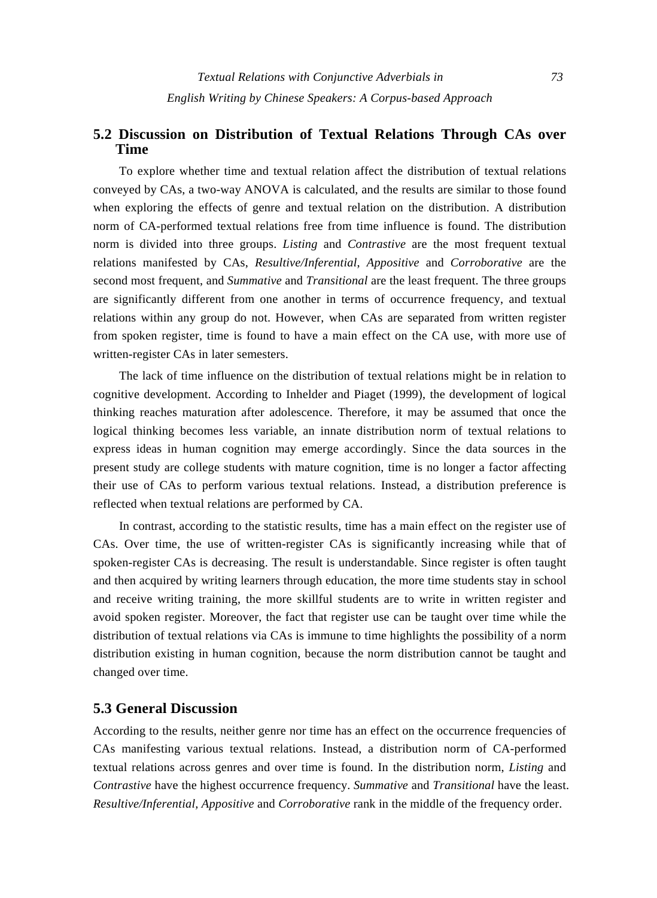# **5.2 Discussion on Distribution of Textual Relations Through CAs over Time**

To explore whether time and textual relation affect the distribution of textual relations conveyed by CAs, a two-way ANOVA is calculated, and the results are similar to those found when exploring the effects of genre and textual relation on the distribution. A distribution norm of CA-performed textual relations free from time influence is found. The distribution norm is divided into three groups. *Listing* and *Contrastive* are the most frequent textual relations manifested by CAs, *Resultive/Inferential*, *Appositive* and *Corroborative* are the second most frequent, and *Summative* and *Transitional* are the least frequent. The three groups are significantly different from one another in terms of occurrence frequency, and textual relations within any group do not. However, when CAs are separated from written register from spoken register, time is found to have a main effect on the CA use, with more use of written-register CAs in later semesters.

The lack of time influence on the distribution of textual relations might be in relation to cognitive development. According to Inhelder and Piaget (1999), the development of logical thinking reaches maturation after adolescence. Therefore, it may be assumed that once the logical thinking becomes less variable, an innate distribution norm of textual relations to express ideas in human cognition may emerge accordingly. Since the data sources in the present study are college students with mature cognition, time is no longer a factor affecting their use of CAs to perform various textual relations. Instead, a distribution preference is reflected when textual relations are performed by CA.

In contrast, according to the statistic results, time has a main effect on the register use of CAs. Over time, the use of written-register CAs is significantly increasing while that of spoken-register CAs is decreasing. The result is understandable. Since register is often taught and then acquired by writing learners through education, the more time students stay in school and receive writing training, the more skillful students are to write in written register and avoid spoken register. Moreover, the fact that register use can be taught over time while the distribution of textual relations via CAs is immune to time highlights the possibility of a norm distribution existing in human cognition, because the norm distribution cannot be taught and changed over time.

## **5.3 General Discussion**

According to the results, neither genre nor time has an effect on the occurrence frequencies of CAs manifesting various textual relations. Instead, a distribution norm of CA-performed textual relations across genres and over time is found. In the distribution norm, *Listing* and *Contrastive* have the highest occurrence frequency. *Summative* and *Transitional* have the least. *Resultive/Inferential, Appositive* and *Corroborative* rank in the middle of the frequency order.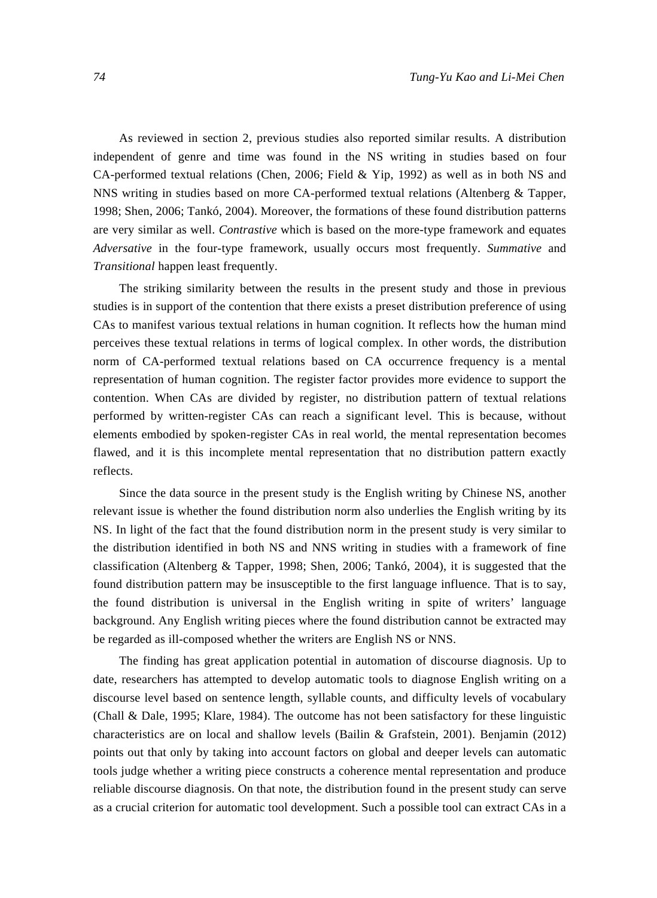As reviewed in section 2, previous studies also reported similar results. A distribution independent of genre and time was found in the NS writing in studies based on four CA-performed textual relations (Chen, 2006; Field & Yip, 1992) as well as in both NS and NNS writing in studies based on more CA-performed textual relations (Altenberg & Tapper, 1998; Shen, 2006; Tankó, 2004). Moreover, the formations of these found distribution patterns are very similar as well. *Contrastive* which is based on the more-type framework and equates *Adversative* in the four-type framework, usually occurs most frequently. *Summative* and *Transitional* happen least frequently.

The striking similarity between the results in the present study and those in previous studies is in support of the contention that there exists a preset distribution preference of using CAs to manifest various textual relations in human cognition. It reflects how the human mind perceives these textual relations in terms of logical complex. In other words, the distribution norm of CA-performed textual relations based on CA occurrence frequency is a mental representation of human cognition. The register factor provides more evidence to support the contention. When CAs are divided by register, no distribution pattern of textual relations performed by written-register CAs can reach a significant level. This is because, without elements embodied by spoken-register CAs in real world, the mental representation becomes flawed, and it is this incomplete mental representation that no distribution pattern exactly reflects.

Since the data source in the present study is the English writing by Chinese NS, another relevant issue is whether the found distribution norm also underlies the English writing by its NS. In light of the fact that the found distribution norm in the present study is very similar to the distribution identified in both NS and NNS writing in studies with a framework of fine classification (Altenberg & Tapper, 1998; Shen, 2006; Tankó, 2004), it is suggested that the found distribution pattern may be insusceptible to the first language influence. That is to say, the found distribution is universal in the English writing in spite of writers' language background. Any English writing pieces where the found distribution cannot be extracted may be regarded as ill-composed whether the writers are English NS or NNS.

The finding has great application potential in automation of discourse diagnosis. Up to date, researchers has attempted to develop automatic tools to diagnose English writing on a discourse level based on sentence length, syllable counts, and difficulty levels of vocabulary (Chall & Dale, 1995; Klare, 1984). The outcome has not been satisfactory for these linguistic characteristics are on local and shallow levels (Bailin & Grafstein, 2001). Benjamin (2012) points out that only by taking into account factors on global and deeper levels can automatic tools judge whether a writing piece constructs a coherence mental representation and produce reliable discourse diagnosis. On that note, the distribution found in the present study can serve as a crucial criterion for automatic tool development. Such a possible tool can extract CAs in a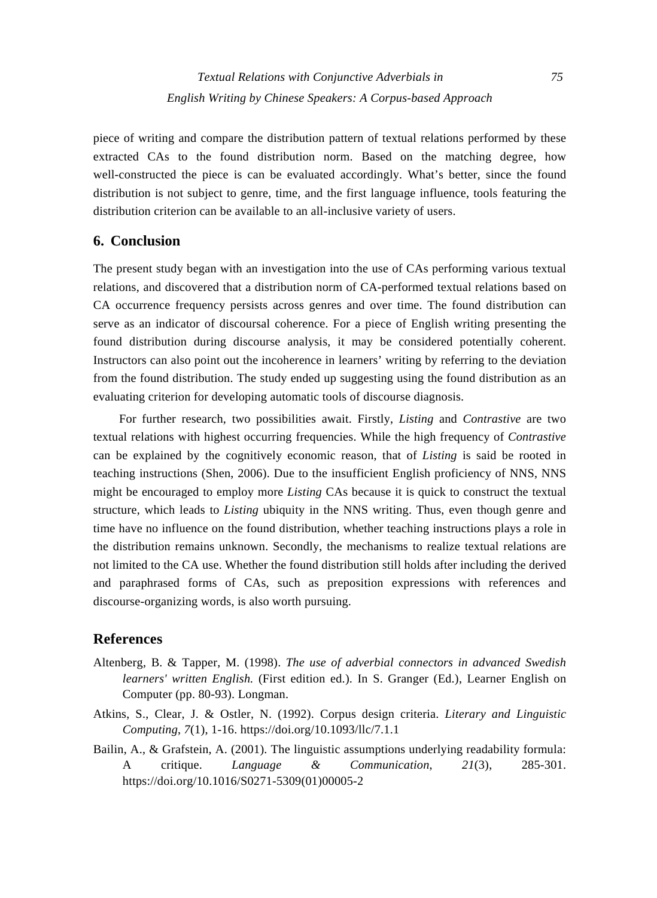piece of writing and compare the distribution pattern of textual relations performed by these extracted CAs to the found distribution norm. Based on the matching degree, how well-constructed the piece is can be evaluated accordingly. What's better, since the found distribution is not subject to genre, time, and the first language influence, tools featuring the distribution criterion can be available to an all-inclusive variety of users.

# **6. Conclusion**

The present study began with an investigation into the use of CAs performing various textual relations, and discovered that a distribution norm of CA-performed textual relations based on CA occurrence frequency persists across genres and over time. The found distribution can serve as an indicator of discoursal coherence. For a piece of English writing presenting the found distribution during discourse analysis, it may be considered potentially coherent. Instructors can also point out the incoherence in learners' writing by referring to the deviation from the found distribution. The study ended up suggesting using the found distribution as an evaluating criterion for developing automatic tools of discourse diagnosis.

For further research, two possibilities await. Firstly, *Listing* and *Contrastive* are two textual relations with highest occurring frequencies. While the high frequency of *Contrastive* can be explained by the cognitively economic reason, that of *Listing* is said be rooted in teaching instructions (Shen, 2006). Due to the insufficient English proficiency of NNS, NNS might be encouraged to employ more *Listing* CAs because it is quick to construct the textual structure, which leads to *Listing* ubiquity in the NNS writing. Thus, even though genre and time have no influence on the found distribution, whether teaching instructions plays a role in the distribution remains unknown. Secondly, the mechanisms to realize textual relations are not limited to the CA use. Whether the found distribution still holds after including the derived and paraphrased forms of CAs, such as preposition expressions with references and discourse-organizing words, is also worth pursuing.

# **References**

- Altenberg, B. & Tapper, M. (1998). *The use of adverbial connectors in advanced Swedish learners' written English.* (First edition ed.). In S. Granger (Ed.), Learner English on Computer (pp. 80-93). Longman.
- Atkins, S., Clear, J. & Ostler, N. (1992). Corpus design criteria. *Literary and Linguistic Computing*, *7*(1), 1-16. https://doi.org/10.1093/llc/7.1.1
- Bailin, A., & Grafstein, A. (2001). The linguistic assumptions underlying readability formula: A critique. *Language & Communication*, *21*(3), 285-301. https://doi.org/10.1016/S0271-5309(01)00005-2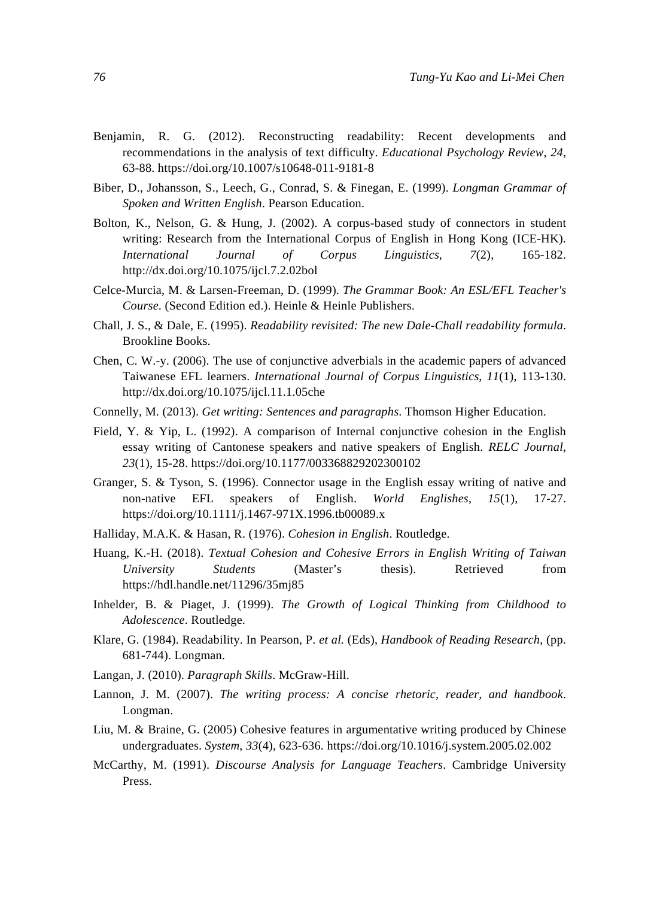- Benjamin, R. G. (2012). Reconstructing readability: Recent developments and recommendations in the analysis of text difficulty. *Educational Psychology Review*, *24*, 63-88. https://doi.org/10.1007/s10648-011-9181-8
- Biber, D., Johansson, S., Leech, G., Conrad, S. & Finegan, E. (1999). *Longman Grammar of Spoken and Written English*. Pearson Education.
- Bolton, K., Nelson, G. & Hung, J. (2002). A corpus-based study of connectors in student writing: Research from the International Corpus of English in Hong Kong (ICE-HK). *International Journal of Corpus Linguistics*, *7*(2), 165-182. http://dx.doi.org/10.1075/ijcl.7.2.02bol
- Celce-Murcia, M. & Larsen-Freeman, D. (1999). *The Grammar Book: An ESL/EFL Teacher's Course*. (Second Edition ed.). Heinle & Heinle Publishers.
- Chall, J. S., & Dale, E. (1995). *Readability revisited: The new Dale-Chall readability formula*. Brookline Books.
- Chen, C. W.-y. (2006). The use of conjunctive adverbials in the academic papers of advanced Taiwanese EFL learners. *International Journal of Corpus Linguistics*, *11*(1), 113-130. http://dx.doi.org/10.1075/ijcl.11.1.05che
- Connelly, M. (2013). *Get writing: Sentences and paragraphs*. Thomson Higher Education.
- Field, Y. & Yip, L. (1992). A comparison of Internal conjunctive cohesion in the English essay writing of Cantonese speakers and native speakers of English. *RELC Journal*, *23*(1), 15-28. https://doi.org/10.1177/003368829202300102
- Granger, S. & Tyson, S. (1996). Connector usage in the English essay writing of native and non-native EFL speakers of English. *World Englishes*, *15*(1), 17-27. https://doi.org/10.1111/j.1467-971X.1996.tb00089.x
- Halliday, M.A.K. & Hasan, R. (1976). *Cohesion in English*. Routledge.
- Huang, K.-H. (2018). *Textual Cohesion and Cohesive Errors in English Writing of Taiwan University Students* (Master's thesis). Retrieved from https://hdl.handle.net/11296/35mj85
- Inhelder, B. & Piaget, J. (1999). *The Growth of Logical Thinking from Childhood to Adolescence*. Routledge.
- Klare, G. (1984). Readability. In Pearson, P. *et al.* (Eds), *Handbook of Reading Research*, (pp. 681-744). Longman.
- Langan, J. (2010). *Paragraph Skills*. McGraw-Hill.
- Lannon, J. M. (2007). *The writing process: A concise rhetoric, reader, and handbook*. Longman.
- Liu, M. & Braine, G. (2005) Cohesive features in argumentative writing produced by Chinese undergraduates. *System*, *33*(4), 623-636. https://doi.org/10.1016/j.system.2005.02.002
- McCarthy, M. (1991). *Discourse Analysis for Language Teachers*. Cambridge University Press.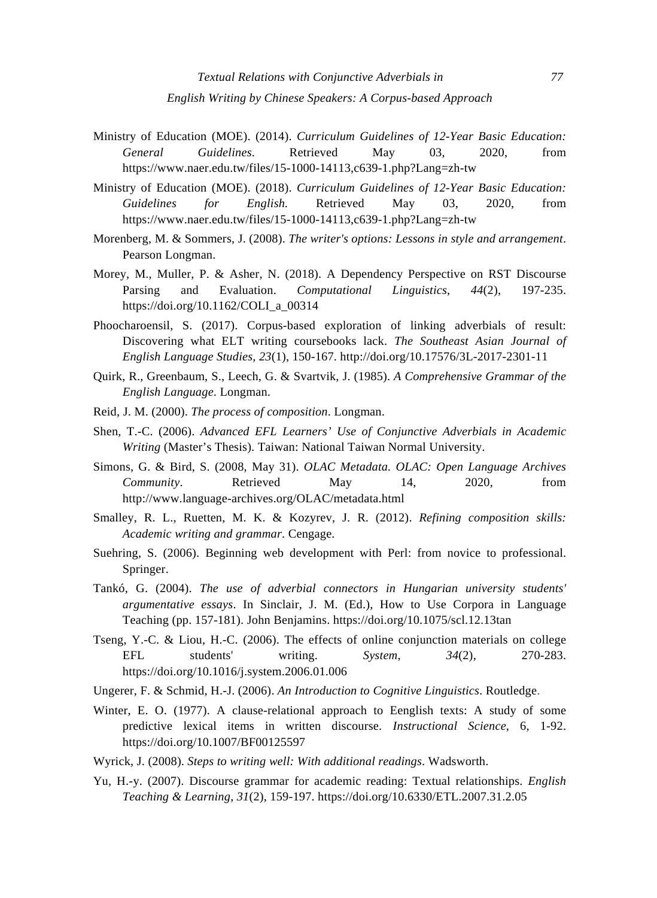- Ministry of Education (MOE). (2014). *Curriculum Guidelines of 12-Year Basic Education: General Guidelines*. Retrieved May 03, 2020, from https://www.naer.edu.tw/files/15-1000-14113,c639-1.php?Lang=zh-tw
- Ministry of Education (MOE). (2018). *Curriculum Guidelines of 12-Year Basic Education: Guidelines for English.* Retrieved May 03, 2020, from https://www.naer.edu.tw/files/15-1000-14113,c639-1.php?Lang=zh-tw
- Morenberg, M. & Sommers, J. (2008). *The writer's options: Lessons in style and arrangement*. Pearson Longman.
- Morey, M., Muller, P. & Asher, N. (2018). A Dependency Perspective on RST Discourse Parsing and Evaluation. *Computational Linguistics*, *44*(2), 197-235. https://doi.org/10.1162/COLI\_a\_00314
- Phoocharoensil, S. (2017). Corpus-based exploration of linking adverbials of result: Discovering what ELT writing coursebooks lack. *The Southeast Asian Journal of English Language Studies*, *23*(1), 150-167. http://doi.org/10.17576/3L-2017-2301-11
- Quirk, R., Greenbaum, S., Leech, G. & Svartvik, J. (1985). *A Comprehensive Grammar of the English Language*. Longman.
- Reid, J. M. (2000). *The process of composition*. Longman.
- Shen, T.-C. (2006). *Advanced EFL Learners' Use of Conjunctive Adverbials in Academic Writing* (Master's Thesis). Taiwan: National Taiwan Normal University.
- Simons, G. & Bird, S. (2008, May 31). *OLAC Metadata. OLAC: Open Language Archives Community*. Retrieved May 14, 2020, from http://www.language-archives.org/OLAC/metadata.html
- Smalley, R. L., Ruetten, M. K. & Kozyrev, J. R. (2012). *Refining composition skills: Academic writing and grammar*. Cengage.
- Suehring, S. (2006). Beginning web development with Perl: from novice to professional. Springer.
- Tankó, G. (2004). *The use of adverbial connectors in Hungarian university students' argumentative essays*. In Sinclair, J. M. (Ed.), How to Use Corpora in Language Teaching (pp. 157-181). John Benjamins. https://doi.org/10.1075/scl.12.13tan
- Tseng, Y.-C. & Liou, H.-C. (2006). The effects of online conjunction materials on college EFL students' writing. *System*, *34*(2), 270-283. https://doi.org/10.1016/j.system.2006.01.006
- Ungerer, F. & Schmid, H.-J. (2006). *An Introduction to Cognitive Linguistics*. Routledge.
- Winter, E. O. (1977). A clause-relational approach to Eenglish texts: A study of some predictive lexical items in written discourse. *Instructional Science*, 6, 1-92. https://doi.org/10.1007/BF00125597
- Wyrick, J. (2008). *Steps to writing well: With additional readings*. Wadsworth.
- Yu, H.-y. (2007). Discourse grammar for academic reading: Textual relationships. *English Teaching & Learning*, *31*(2), 159-197. https://doi.org/10.6330/ETL.2007.31.2.05